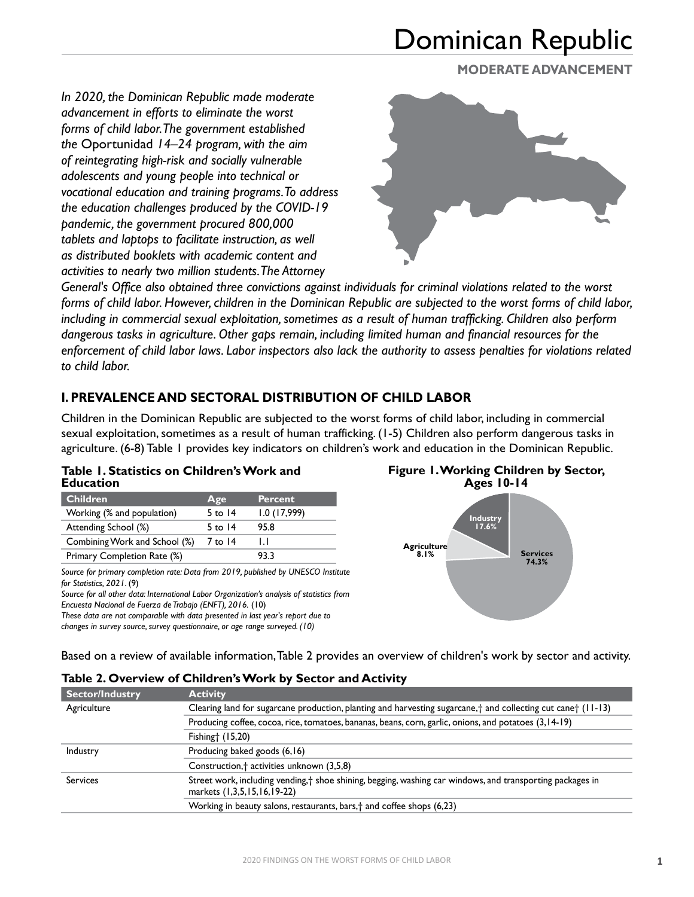### **MODERATE ADVANCEMENT**

*In 2020, the Dominican Republic made moderate advancement in efforts to eliminate the worst forms of child labor. The government established the* Oportunidad *14–24 program, with the aim of reintegrating high-risk and socially vulnerable adolescents and young people into technical or vocational education and training programs. To address the education challenges produced by the COVID-19 pandemic, the government procured 800,000 tablets and laptops to facilitate instruction, as well as distributed booklets with academic content and activities to nearly two million students. The Attorney* 



*General's Office also obtained three convictions against individuals for criminal violations related to the worst forms of child labor. However, children in the Dominican Republic are subjected to the worst forms of child labor, including in commercial sexual exploitation, sometimes as a result of human trafficking. Children also perform dangerous tasks in agriculture. Other gaps remain, including limited human and financial resources for the enforcement of child labor laws. Labor inspectors also lack the authority to assess penalties for violations related to child labor.*

## **I. PREVALENCE AND SECTORAL DISTRIBUTION OF CHILD LABOR**

Children in the Dominican Republic are subjected to the worst forms of child labor, including in commercial sexual exploitation, sometimes as a result of human trafficking. (1-5) Children also perform dangerous tasks in agriculture. (6-8) Table 1 provides key indicators on children's work and education in the Dominican Republic.

### **Table 1. Statistics on Children's Work and Education**

| <b>Children</b>               | Age       | <b>Percent</b> |
|-------------------------------|-----------|----------------|
| Working (% and population)    | 5 to $14$ | 1.0(17,999)    |
| Attending School (%)          | 5 to $14$ | 95.8           |
| Combining Work and School (%) | 7 to 14   | IJ             |
| Primary Completion Rate (%)   |           | 93.3           |

*Source for primary completion rate: Data from 2019, published by UNESCO Institute for Statistics, 2021*. (9)

*Source for all other data: International Labor Organization's analysis of statistics from Encuesta Nacional de Fuerza de Trabajo (ENFT), 2016.* (10)

*These data are not comparable with data presented in last year's report due to changes in survey source, survey questionnaire, or age range surveyed. (10)*

### **Figure 1. Working Children by Sector, Ages 10-14**



Based on a review of available information, Table 2 provides an overview of children's work by sector and activity.

| <b>Sector/Industry</b> | <b>Activity</b>                                                                                                                           |
|------------------------|-------------------------------------------------------------------------------------------------------------------------------------------|
| Agriculture            | Clearing land for sugarcane production, planting and harvesting sugarcane, $\dagger$ and collecting cut cane $\dagger$ (11-13)            |
|                        | Producing coffee, cocoa, rice, tomatoes, bananas, beans, corn, garlic, onions, and potatoes (3,14-19)                                     |
|                        | Fishing $(15,20)$                                                                                                                         |
| Industry               | Producing baked goods (6,16)                                                                                                              |
|                        | Construction, <sup>†</sup> activities unknown (3,5,8)                                                                                     |
| <b>Services</b>        | Street work, including vending, + shoe shining, begging, washing car windows, and transporting packages in<br>markets (1,3,5,15,16,19-22) |
|                        | Working in beauty salons, restaurants, bars, † and coffee shops (6,23)                                                                    |

### **Table 2. Overview of Children's Work by Sector and Activity**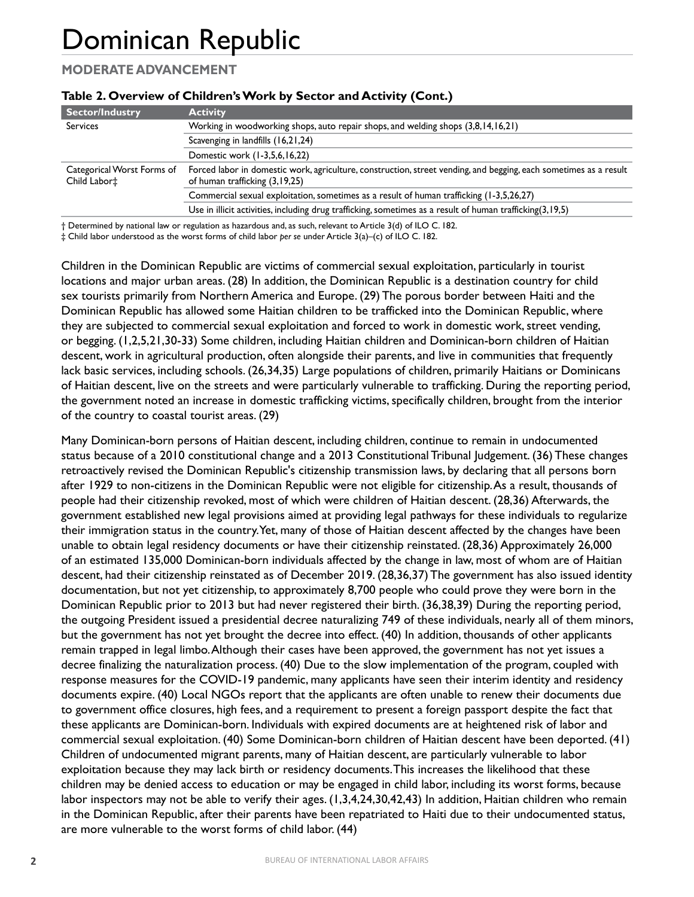## **MODERATE ADVANCEMENT**

| Sector/Industry                            | <b>Activity</b>                                                                                                                                     |
|--------------------------------------------|-----------------------------------------------------------------------------------------------------------------------------------------------------|
| <b>Services</b>                            | Working in woodworking shops, auto repair shops, and welding shops (3,8,14,16,21)                                                                   |
|                                            | Scavenging in landfills (16,21,24)                                                                                                                  |
|                                            | Domestic work (1-3,5,6,16,22)                                                                                                                       |
| Categorical Worst Forms of<br>Child Labor‡ | Forced labor in domestic work, agriculture, construction, street vending, and begging, each sometimes as a result<br>of human trafficking (3,19,25) |
|                                            | Commercial sexual exploitation, sometimes as a result of human trafficking (1-3,5,26,27)                                                            |
|                                            | Use in illicit activities, including drug trafficking, sometimes as a result of human trafficking(3,19,5)                                           |

#### **Table 2. Overview of Children's Work by Sector and Activity (Cont.)**

† Determined by national law or regulation as hazardous and, as such, relevant to Article 3(d) of ILO C. 182.

‡ Child labor understood as the worst forms of child labor *per se* under Article 3(a)–(c) of ILO C. 182.

Children in the Dominican Republic are victims of commercial sexual exploitation, particularly in tourist locations and major urban areas. (28) In addition, the Dominican Republic is a destination country for child sex tourists primarily from Northern America and Europe. (29) The porous border between Haiti and the Dominican Republic has allowed some Haitian children to be trafficked into the Dominican Republic, where they are subjected to commercial sexual exploitation and forced to work in domestic work, street vending, or begging. (1,2,5,21,30-33) Some children, including Haitian children and Dominican-born children of Haitian descent, work in agricultural production, often alongside their parents, and live in communities that frequently lack basic services, including schools. (26,34,35) Large populations of children, primarily Haitians or Dominicans of Haitian descent, live on the streets and were particularly vulnerable to trafficking. During the reporting period, the government noted an increase in domestic trafficking victims, specifically children, brought from the interior of the country to coastal tourist areas. (29)

Many Dominican-born persons of Haitian descent, including children, continue to remain in undocumented status because of a 2010 constitutional change and a 2013 Constitutional Tribunal Judgement. (36) These changes retroactively revised the Dominican Republic's citizenship transmission laws, by declaring that all persons born after 1929 to non-citizens in the Dominican Republic were not eligible for citizenship. As a result, thousands of people had their citizenship revoked, most of which were children of Haitian descent. (28,36) Afterwards, the government established new legal provisions aimed at providing legal pathways for these individuals to regularize their immigration status in the country. Yet, many of those of Haitian descent affected by the changes have been unable to obtain legal residency documents or have their citizenship reinstated. (28,36) Approximately 26,000 of an estimated 135,000 Dominican-born individuals affected by the change in law, most of whom are of Haitian descent, had their citizenship reinstated as of December 2019. (28,36,37) The government has also issued identity documentation, but not yet citizenship, to approximately 8,700 people who could prove they were born in the Dominican Republic prior to 2013 but had never registered their birth. (36,38,39) During the reporting period, the outgoing President issued a presidential decree naturalizing 749 of these individuals, nearly all of them minors, but the government has not yet brought the decree into effect. (40) In addition, thousands of other applicants remain trapped in legal limbo. Although their cases have been approved, the government has not yet issues a decree finalizing the naturalization process. (40) Due to the slow implementation of the program, coupled with response measures for the COVID-19 pandemic, many applicants have seen their interim identity and residency documents expire. (40) Local NGOs report that the applicants are often unable to renew their documents due to government office closures, high fees, and a requirement to present a foreign passport despite the fact that these applicants are Dominican-born. Individuals with expired documents are at heightened risk of labor and commercial sexual exploitation. (40) Some Dominican-born children of Haitian descent have been deported. (41) Children of undocumented migrant parents, many of Haitian descent, are particularly vulnerable to labor exploitation because they may lack birth or residency documents. This increases the likelihood that these children may be denied access to education or may be engaged in child labor, including its worst forms, because labor inspectors may not be able to verify their ages. (1,3,4,24,30,42,43) In addition, Haitian children who remain in the Dominican Republic, after their parents have been repatriated to Haiti due to their undocumented status, are more vulnerable to the worst forms of child labor. (44)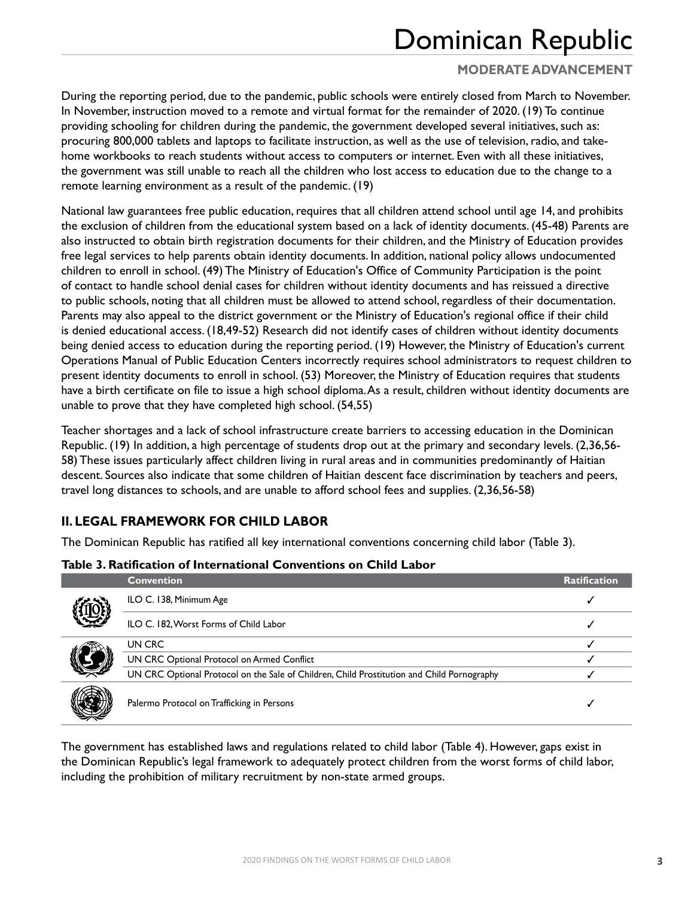## **MODERATE ADVANCEMENT**

During the reporting period, due to the pandemic, public schools were entirely closed from March to November. In November, instruction moved to a remote and virtual format for the remainder of 2020. (19) To continue providing schooling for children during the pandemic, the government developed several initiatives, such as: procuring 800,000 tablets and laptops to facilitate instruction, as well as the use of television, radio, and takehome workbooks to reach students without access to computers or internet. Even with all these initiatives, the government was still unable to reach all the children who lost access to education due to the change to a remote learning environment as a result of the pandemic. (19)

National law guarantees free public education, requires that all children attend school until age 14, and prohibits the exclusion of children from the educational system based on a lack of identity documents. (45-48) Parents are also instructed to obtain birth registration documents for their children, and the Ministry of Education provides free legal services to help parents obtain identity documents. In addition, national policy allows undocumented children to enroll in school. (49) The Ministry of Education's Office of Community Participation is the point of contact to handle school denial cases for children without identity documents and has reissued a directive to public schools, noting that all children must be allowed to attend school, regardless of their documentation. Parents may also appeal to the district government or the Ministry of Education's regional office if their child is denied educational access. (18,49-52) Research did not identify cases of children without identity documents being denied access to education during the reporting period. (19) However, the Ministry of Education's current Operations Manual of Public Education Centers incorrectly requires school administrators to request children to present identity documents to enroll in school. (53) Moreover, the Ministry of Education requires that students have a birth certificate on file to issue a high school diploma. As a result, children without identity documents are unable to prove that they have completed high school. (54,55)

Teacher shortages and a lack of school infrastructure create barriers to accessing education in the Dominican Republic. (19) In addition, a high percentage of students drop out at the primary and secondary levels. (2,36,56- 58) These issues particularly affect children living in rural areas and in communities predominantly of Haitian descent. Sources also indicate that some children of Haitian descent face discrimination by teachers and peers, travel long distances to schools, and are unable to afford school fees and supplies. (2,36,56-58)

## **II. LEGAL FRAMEWORK FOR CHILD LABOR**

The Dominican Republic has ratified all key international conventions concerning child labor (Table 3).

| Table 3. Ratification of International Conventions on Child Labor |  |  |  |
|-------------------------------------------------------------------|--|--|--|
|-------------------------------------------------------------------|--|--|--|

| <b>Convention</b>                                                                          | <b>Ratification</b> |
|--------------------------------------------------------------------------------------------|---------------------|
| ILO C. 138, Minimum Age                                                                    |                     |
| ILO C. 182, Worst Forms of Child Labor                                                     |                     |
| UN CRC                                                                                     |                     |
| UN CRC Optional Protocol on Armed Conflict                                                 |                     |
| UN CRC Optional Protocol on the Sale of Children, Child Prostitution and Child Pornography |                     |
| Palermo Protocol on Trafficking in Persons                                                 |                     |

The government has established laws and regulations related to child labor (Table 4). However, gaps exist in the Dominican Republic's legal framework to adequately protect children from the worst forms of child labor, including the prohibition of military recruitment by non-state armed groups.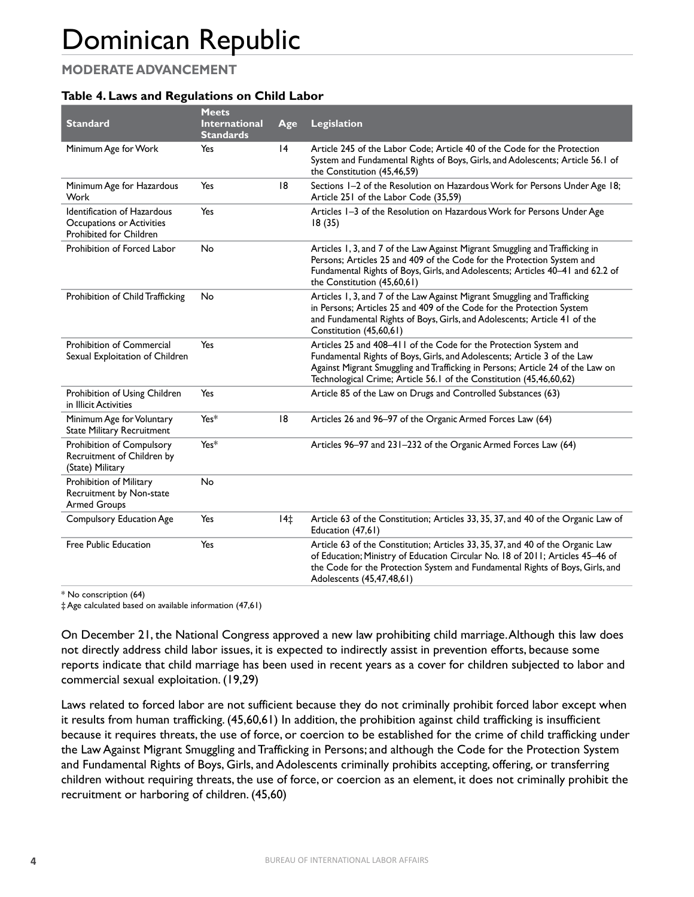## **MODERATE ADVANCEMENT**

### **Table 4. Laws and Regulations on Child Labor**

| <b>Standard</b>                                                                     | <b>Meets</b><br><b>International</b><br><b>Standards</b> | Age   | <b>Legislation</b>                                                                                                                                                                                                                                                                                     |
|-------------------------------------------------------------------------------------|----------------------------------------------------------|-------|--------------------------------------------------------------------------------------------------------------------------------------------------------------------------------------------------------------------------------------------------------------------------------------------------------|
| Minimum Age for Work                                                                | Yes                                                      | 4     | Article 245 of the Labor Code; Article 40 of the Code for the Protection<br>System and Fundamental Rights of Boys, Girls, and Adolescents; Article 56.1 of<br>the Constitution (45,46,59)                                                                                                              |
| Minimum Age for Hazardous<br>Work                                                   | Yes                                                      | 18    | Sections 1-2 of the Resolution on Hazardous Work for Persons Under Age 18;<br>Article 251 of the Labor Code (35,59)                                                                                                                                                                                    |
| Identification of Hazardous<br>Occupations or Activities<br>Prohibited for Children | Yes                                                      |       | Articles 1-3 of the Resolution on Hazardous Work for Persons Under Age<br>18(35)                                                                                                                                                                                                                       |
| Prohibition of Forced Labor                                                         | <b>No</b>                                                |       | Articles 1, 3, and 7 of the Law Against Migrant Smuggling and Trafficking in<br>Persons; Articles 25 and 409 of the Code for the Protection System and<br>Fundamental Rights of Boys, Girls, and Adolescents; Articles 40-41 and 62.2 of<br>the Constitution (45,60,61)                                |
| Prohibition of Child Trafficking                                                    | No                                                       |       | Articles 1, 3, and 7 of the Law Against Migrant Smuggling and Trafficking<br>in Persons; Articles 25 and 409 of the Code for the Protection System<br>and Fundamental Rights of Boys, Girls, and Adolescents; Article 41 of the<br>Constitution (45,60,61)                                             |
| Prohibition of Commercial<br>Sexual Exploitation of Children                        | Yes                                                      |       | Articles 25 and 408-411 of the Code for the Protection System and<br>Fundamental Rights of Boys, Girls, and Adolescents; Article 3 of the Law<br>Against Migrant Smuggling and Trafficking in Persons; Article 24 of the Law on<br>Technological Crime; Article 56.1 of the Constitution (45,46,60,62) |
| Prohibition of Using Children<br>in Illicit Activities                              | Yes                                                      |       | Article 85 of the Law on Drugs and Controlled Substances (63)                                                                                                                                                                                                                                          |
| Minimum Age for Voluntary<br><b>State Military Recruitment</b>                      | Yes*                                                     | 8     | Articles 26 and 96-97 of the Organic Armed Forces Law (64)                                                                                                                                                                                                                                             |
| Prohibition of Compulsory<br>Recruitment of Children by<br>(State) Military         | Yes*                                                     |       | Articles 96-97 and 231-232 of the Organic Armed Forces Law (64)                                                                                                                                                                                                                                        |
| Prohibition of Military<br>Recruitment by Non-state<br><b>Armed Groups</b>          | <b>No</b>                                                |       |                                                                                                                                                                                                                                                                                                        |
| Compulsory Education Age                                                            | Yes                                                      | $14+$ | Article 63 of the Constitution; Articles 33, 35, 37, and 40 of the Organic Law of<br>Education (47,61)                                                                                                                                                                                                 |
| <b>Free Public Education</b>                                                        | Yes                                                      |       | Article 63 of the Constitution; Articles 33, 35, 37, and 40 of the Organic Law<br>of Education; Ministry of Education Circular No. 18 of 2011; Articles 45-46 of<br>the Code for the Protection System and Fundamental Rights of Boys, Girls, and<br>Adolescents (45,47,48,61)                         |

\* No conscription (64)

‡ Age calculated based on available information (47,61)

On December 21, the National Congress approved a new law prohibiting child marriage. Although this law does not directly address child labor issues, it is expected to indirectly assist in prevention efforts, because some reports indicate that child marriage has been used in recent years as a cover for children subjected to labor and commercial sexual exploitation. (19,29)

Laws related to forced labor are not sufficient because they do not criminally prohibit forced labor except when it results from human trafficking. (45,60,61) In addition, the prohibition against child trafficking is insufficient because it requires threats, the use of force, or coercion to be established for the crime of child trafficking under the Law Against Migrant Smuggling and Trafficking in Persons; and although the Code for the Protection System and Fundamental Rights of Boys, Girls, and Adolescents criminally prohibits accepting, offering, or transferring children without requiring threats, the use of force, or coercion as an element, it does not criminally prohibit the recruitment or harboring of children. (45,60)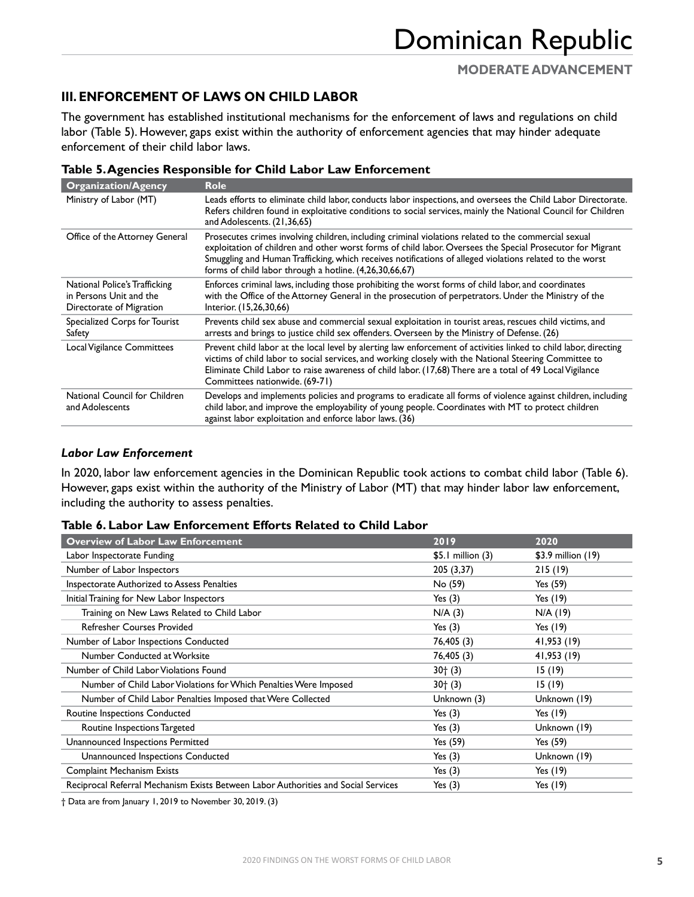## **III. ENFORCEMENT OF LAWS ON CHILD LABOR**

The government has established institutional mechanisms for the enforcement of laws and regulations on child labor (Table 5). However, gaps exist within the authority of enforcement agencies that may hinder adequate enforcement of their child labor laws.

| <b>Organization/Agency</b>                                                           | <b>Role</b>                                                                                                                                                                                                                                                                                                                                                                               |
|--------------------------------------------------------------------------------------|-------------------------------------------------------------------------------------------------------------------------------------------------------------------------------------------------------------------------------------------------------------------------------------------------------------------------------------------------------------------------------------------|
| Ministry of Labor (MT)                                                               | Leads efforts to eliminate child labor, conducts labor inspections, and oversees the Child Labor Directorate.<br>Refers children found in exploitative conditions to social services, mainly the National Council for Children<br>and Adolescents. (21,36,65)                                                                                                                             |
| Office of the Attorney General                                                       | Prosecutes crimes involving children, including criminal violations related to the commercial sexual<br>exploitation of children and other worst forms of child labor. Oversees the Special Prosecutor for Migrant<br>Smuggling and Human Trafficking, which receives notifications of alleged violations related to the worst<br>forms of child labor through a hotline. (4,26,30,66,67) |
| National Police's Trafficking<br>in Persons Unit and the<br>Directorate of Migration | Enforces criminal laws, including those prohibiting the worst forms of child labor, and coordinates<br>with the Office of the Attorney General in the prosecution of perpetrators. Under the Ministry of the<br>Interior. (15,26,30,66)                                                                                                                                                   |
| Specialized Corps for Tourist<br>Safety                                              | Prevents child sex abuse and commercial sexual exploitation in tourist areas, rescues child victims, and<br>arrests and brings to justice child sex offenders. Overseen by the Ministry of Defense. (26)                                                                                                                                                                                  |
| Local Vigilance Committees                                                           | Prevent child labor at the local level by alerting law enforcement of activities linked to child labor, directing<br>victims of child labor to social services, and working closely with the National Steering Committee to<br>Eliminate Child Labor to raise awareness of child labor. (17,68) There are a total of 49 Local Vigilance<br>Committees nationwide. (69-71)                 |
| National Council for Children<br>and Adolescents                                     | Develops and implements policies and programs to eradicate all forms of violence against children, including<br>child labor, and improve the employability of young people. Coordinates with MT to protect children<br>against labor exploitation and enforce labor laws. (36)                                                                                                            |

#### **Table 5. Agencies Responsible for Child Labor Law Enforcement**

#### *Labor Law Enforcement*

In 2020, labor law enforcement agencies in the Dominican Republic took actions to combat child labor (Table 6). However, gaps exist within the authority of the Ministry of Labor (MT) that may hinder labor law enforcement, including the authority to assess penalties.

| Table 6. Labor Law Enforcement Efforts Related to Child Labor |  |  |
|---------------------------------------------------------------|--|--|
|---------------------------------------------------------------|--|--|

| <b>Overview of Labor Law Enforcement</b>                                           | 2019                 | 2020               |
|------------------------------------------------------------------------------------|----------------------|--------------------|
| Labor Inspectorate Funding                                                         | $$5.1$ million $(3)$ | \$3.9 million (19) |
| Number of Labor Inspectors                                                         | 205 (3,37)           | 215(19)            |
| Inspectorate Authorized to Assess Penalties                                        | No (59)              | Yes (59)           |
| Initial Training for New Labor Inspectors                                          | Yes $(3)$            | Yes (19)           |
| Training on New Laws Related to Child Labor                                        | N/A(3)               | $N/A$ (19)         |
| Refresher Courses Provided                                                         | Yes $(3)$            | Yes $(19)$         |
| Number of Labor Inspections Conducted                                              | 76,405 (3)           | 41,953 (19)        |
| Number Conducted at Worksite                                                       | 76,405 (3)           | 41,953 (19)        |
| Number of Child Labor Violations Found                                             | $30^{+}(3)$          | 15 (19)            |
| Number of Child Labor Violations for Which Penalties Were Imposed                  | $30^{+}(3)$          | 15 (19)            |
| Number of Child Labor Penalties Imposed that Were Collected                        | Unknown (3)          | Unknown (19)       |
| Routine Inspections Conducted                                                      | Yes $(3)$            | Yes (19)           |
| Routine Inspections Targeted                                                       | Yes $(3)$            | Unknown (19)       |
| Unannounced Inspections Permitted                                                  | Yes (59)             | Yes (59)           |
| Unannounced Inspections Conducted                                                  | Yes $(3)$            | Unknown (19)       |
| <b>Complaint Mechanism Exists</b>                                                  | Yes $(3)$            | Yes $(19)$         |
| Reciprocal Referral Mechanism Exists Between Labor Authorities and Social Services | Yes $(3)$            | Yes (19)           |

† Data are from January 1, 2019 to November 30, 2019. (3)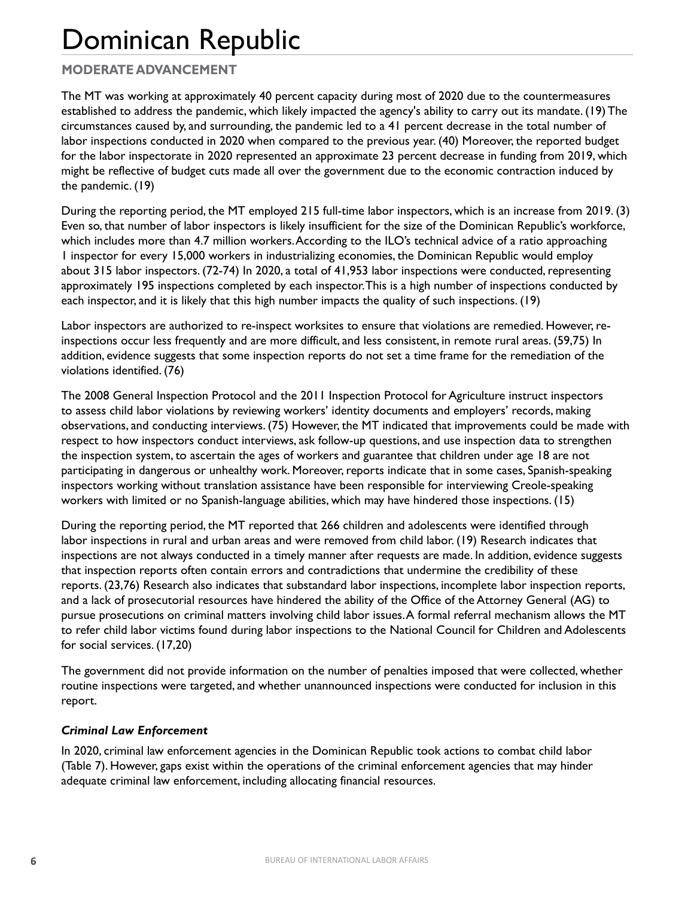## **MODERATE ADVANCEMENT**

The MT was working at approximately 40 percent capacity during most of 2020 due to the countermeasures established to address the pandemic, which likely impacted the agency's ability to carry out its mandate. (19) The circumstances caused by, and surrounding, the pandemic led to a 41 percent decrease in the total number of labor inspections conducted in 2020 when compared to the previous year. (40) Moreover, the reported budget for the labor inspectorate in 2020 represented an approximate 23 percent decrease in funding from 2019, which might be reflective of budget cuts made all over the government due to the economic contraction induced by the pandemic. (19)

During the reporting period, the MT employed 215 full-time labor inspectors, which is an increase from 2019. (3) Even so, that number of labor inspectors is likely insufficient for the size of the Dominican Republic's workforce, which includes more than 4.7 million workers. According to the ILO's technical advice of a ratio approaching 1 inspector for every 15,000 workers in industrializing economies, the Dominican Republic would employ about 315 labor inspectors. (72-74) In 2020, a total of 41,953 labor inspections were conducted, representing approximately 195 inspections completed by each inspector. This is a high number of inspections conducted by each inspector, and it is likely that this high number impacts the quality of such inspections. (19)

Labor inspectors are authorized to re-inspect worksites to ensure that violations are remedied. However, reinspections occur less frequently and are more difficult, and less consistent, in remote rural areas. (59,75) In addition, evidence suggests that some inspection reports do not set a time frame for the remediation of the violations identified. (76)

The 2008 General Inspection Protocol and the 2011 Inspection Protocol for Agriculture instruct inspectors to assess child labor violations by reviewing workers' identity documents and employers' records, making observations, and conducting interviews. (75) However, the MT indicated that improvements could be made with respect to how inspectors conduct interviews, ask follow-up questions, and use inspection data to strengthen the inspection system, to ascertain the ages of workers and guarantee that children under age 18 are not participating in dangerous or unhealthy work. Moreover, reports indicate that in some cases, Spanish-speaking inspectors working without translation assistance have been responsible for interviewing Creole-speaking workers with limited or no Spanish-language abilities, which may have hindered those inspections. (15)

During the reporting period, the MT reported that 266 children and adolescents were identified through labor inspections in rural and urban areas and were removed from child labor. (19) Research indicates that inspections are not always conducted in a timely manner after requests are made. In addition, evidence suggests that inspection reports often contain errors and contradictions that undermine the credibility of these reports. (23,76) Research also indicates that substandard labor inspections, incomplete labor inspection reports, and a lack of prosecutorial resources have hindered the ability of the Office of the Attorney General (AG) to pursue prosecutions on criminal matters involving child labor issues. A formal referral mechanism allows the MT to refer child labor victims found during labor inspections to the National Council for Children and Adolescents for social services. (17,20)

The government did not provide information on the number of penalties imposed that were collected, whether routine inspections were targeted, and whether unannounced inspections were conducted for inclusion in this report.

### *Criminal Law Enforcement*

In 2020, criminal law enforcement agencies in the Dominican Republic took actions to combat child labor (Table 7). However, gaps exist within the operations of the criminal enforcement agencies that may hinder adequate criminal law enforcement, including allocating financial resources.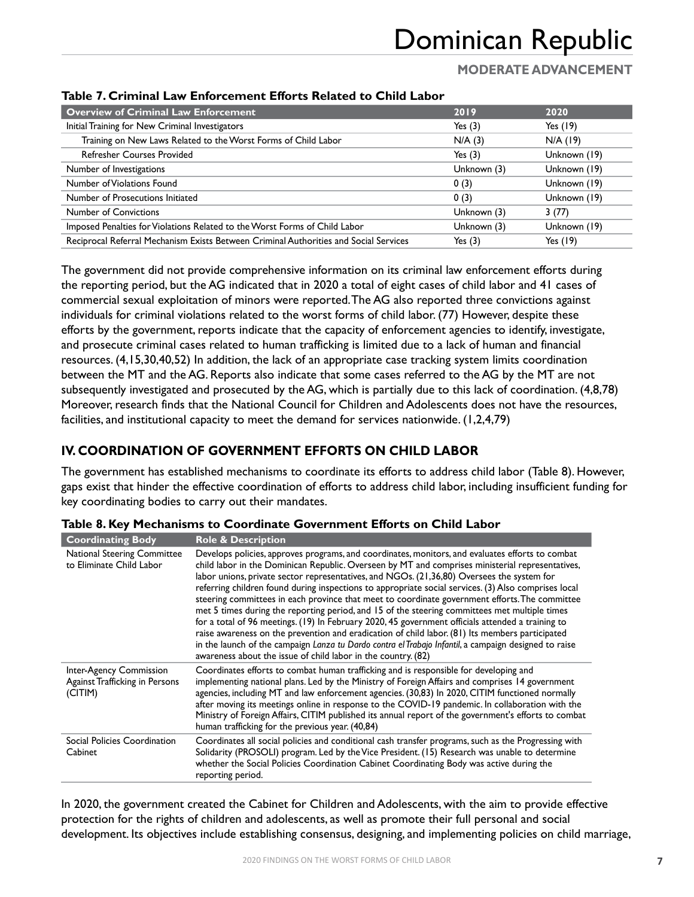## **MODERATE ADVANCEMENT**

| ושטוט ווי סוווושו בעזי בוווטו ככוווטונ בווטו נט ווכומנכט נט פווווט במטטו              |             |              |
|---------------------------------------------------------------------------------------|-------------|--------------|
| <b>Overview of Criminal Law Enforcement</b>                                           | 2019        | 2020         |
| Initial Training for New Criminal Investigators                                       | Yes $(3)$   | Yes $(19)$   |
| Training on New Laws Related to the Worst Forms of Child Labor                        | N/A(3)      | $N/A$ (19)   |
| <b>Refresher Courses Provided</b>                                                     | Yes $(3)$   | Unknown (19) |
| Number of Investigations                                                              | Unknown (3) | Unknown (19) |
| Number of Violations Found                                                            | 0(3)        | Unknown (19) |
| Number of Prosecutions Initiated                                                      | 0(3)        | Unknown (19) |
| <b>Number of Convictions</b>                                                          | Unknown (3) | 3(77)        |
| Imposed Penalties for Violations Related to the Worst Forms of Child Labor            | Unknown (3) | Unknown (19) |
| Reciprocal Referral Mechanism Exists Between Criminal Authorities and Social Services | Yes $(3)$   | Yes $(19)$   |
|                                                                                       |             |              |

#### **Table 7. Criminal Law Enforcement Efforts Related to Child Labor**

The government did not provide comprehensive information on its criminal law enforcement efforts during the reporting period, but the AG indicated that in 2020 a total of eight cases of child labor and 41 cases of commercial sexual exploitation of minors were reported. The AG also reported three convictions against individuals for criminal violations related to the worst forms of child labor. (77) However, despite these efforts by the government, reports indicate that the capacity of enforcement agencies to identify, investigate, and prosecute criminal cases related to human trafficking is limited due to a lack of human and financial resources. (4,15,30,40,52) In addition, the lack of an appropriate case tracking system limits coordination between the MT and the AG. Reports also indicate that some cases referred to the AG by the MT are not subsequently investigated and prosecuted by the AG, which is partially due to this lack of coordination. (4,8,78) Moreover, research finds that the National Council for Children and Adolescents does not have the resources, facilities, and institutional capacity to meet the demand for services nationwide. (1,2,4,79)

## **IV. COORDINATION OF GOVERNMENT EFFORTS ON CHILD LABOR**

The government has established mechanisms to coordinate its efforts to address child labor (Table 8). However, gaps exist that hinder the effective coordination of efforts to address child labor, including insufficient funding for key coordinating bodies to carry out their mandates.

| <b>Coordinating Body</b>                                                    | <b>Role &amp; Description</b>                                                                                                                                                                                                                                                                                                                                                                                                                                                                                                                                                                                                                                                                                                                                                                                                                                                                                                                                                                   |
|-----------------------------------------------------------------------------|-------------------------------------------------------------------------------------------------------------------------------------------------------------------------------------------------------------------------------------------------------------------------------------------------------------------------------------------------------------------------------------------------------------------------------------------------------------------------------------------------------------------------------------------------------------------------------------------------------------------------------------------------------------------------------------------------------------------------------------------------------------------------------------------------------------------------------------------------------------------------------------------------------------------------------------------------------------------------------------------------|
| <b>National Steering Committee</b><br>to Eliminate Child Labor              | Develops policies, approves programs, and coordinates, monitors, and evaluates efforts to combat<br>child labor in the Dominican Republic. Overseen by MT and comprises ministerial representatives,<br>labor unions, private sector representatives, and NGOs. (21,36,80) Oversees the system for<br>referring children found during inspections to appropriate social services. (3) Also comprises local<br>steering committees in each province that meet to coordinate government efforts. The committee<br>met 5 times during the reporting period, and 15 of the steering committees met multiple times<br>for a total of 96 meetings. (19) In February 2020, 45 government officials attended a training to<br>raise awareness on the prevention and eradication of child labor. (81) Its members participated<br>in the launch of the campaign Lanza tu Dardo contra el Trabajo Infantil, a campaign designed to raise<br>awareness about the issue of child labor in the country. (82) |
| <b>Inter-Agency Commission</b><br>Against Trafficking in Persons<br>(CITIM) | Coordinates efforts to combat human trafficking and is responsible for developing and<br>implementing national plans. Led by the Ministry of Foreign Affairs and comprises 14 government<br>agencies, including MT and law enforcement agencies. (30,83) In 2020, CITIM functioned normally<br>after moving its meetings online in response to the COVID-19 pandemic. In collaboration with the<br>Ministry of Foreign Affairs, CITIM published its annual report of the government's efforts to combat<br>human trafficking for the previous year. (40,84)                                                                                                                                                                                                                                                                                                                                                                                                                                     |
| Social Policies Coordination<br>Cabinet                                     | Coordinates all social policies and conditional cash transfer programs, such as the Progressing with<br>Solidarity (PROSOLI) program. Led by the Vice President. (15) Research was unable to determine<br>whether the Social Policies Coordination Cabinet Coordinating Body was active during the<br>reporting period.                                                                                                                                                                                                                                                                                                                                                                                                                                                                                                                                                                                                                                                                         |

**Table 8. Key Mechanisms to Coordinate Government Efforts on Child Labor**

In 2020, the government created the Cabinet for Children and Adolescents, with the aim to provide effective protection for the rights of children and adolescents, as well as promote their full personal and social development. Its objectives include establishing consensus, designing, and implementing policies on child marriage,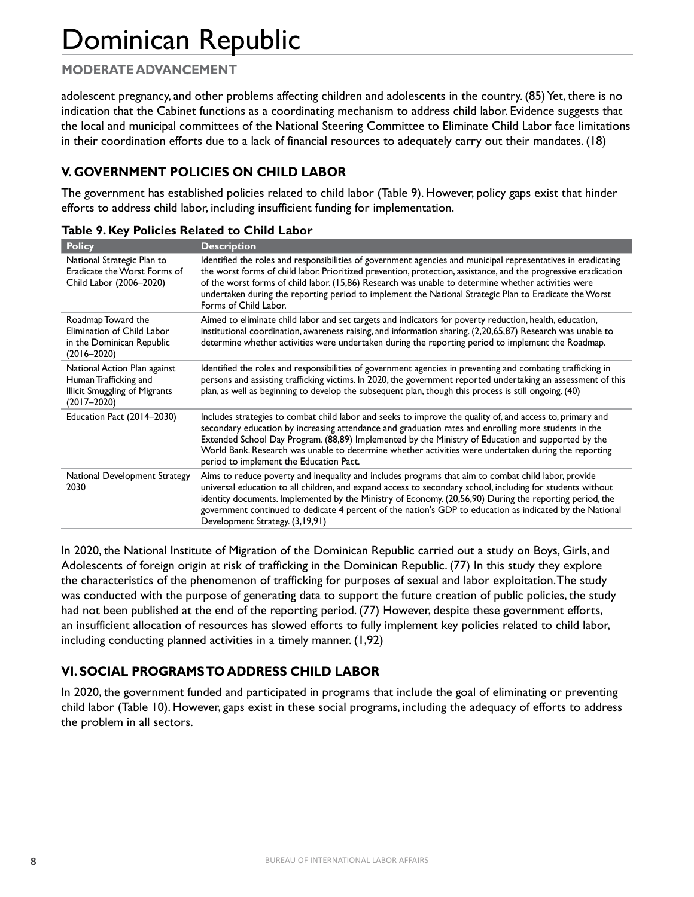## **MODERATE ADVANCEMENT**

adolescent pregnancy, and other problems affecting children and adolescents in the country. (85) Yet, there is no indication that the Cabinet functions as a coordinating mechanism to address child labor. Evidence suggests that the local and municipal committees of the National Steering Committee to Eliminate Child Labor face limitations in their coordination efforts due to a lack of financial resources to adequately carry out their mandates. (18)

## **V. GOVERNMENT POLICIES ON CHILD LABOR**

The government has established policies related to child labor (Table 9). However, policy gaps exist that hinder efforts to address child labor, including insufficient funding for implementation.

| <b>Policy</b>                                                                                             | <b>Description</b>                                                                                                                                                                                                                                                                                                                                                                                                                                                          |
|-----------------------------------------------------------------------------------------------------------|-----------------------------------------------------------------------------------------------------------------------------------------------------------------------------------------------------------------------------------------------------------------------------------------------------------------------------------------------------------------------------------------------------------------------------------------------------------------------------|
| National Strategic Plan to<br>Eradicate the Worst Forms of<br>Child Labor (2006-2020)                     | Identified the roles and responsibilities of government agencies and municipal representatives in eradicating<br>the worst forms of child labor. Prioritized prevention, protection, assistance, and the progressive eradication<br>of the worst forms of child labor. (15,86) Research was unable to determine whether activities were<br>undertaken during the reporting period to implement the National Strategic Plan to Eradicate the Worst<br>Forms of Child Labor.  |
| Roadmap Toward the<br>Elimination of Child Labor<br>in the Dominican Republic<br>$(2016 - 2020)$          | Aimed to eliminate child labor and set targets and indicators for poverty reduction, health, education,<br>institutional coordination, awareness raising, and information sharing. (2,20,65,87) Research was unable to<br>determine whether activities were undertaken during the reporting period to implement the Roadmap.                                                                                                                                                |
| National Action Plan against<br>Human Trafficking and<br>Illicit Smuggling of Migrants<br>$(2017 - 2020)$ | Identified the roles and responsibilities of government agencies in preventing and combating trafficking in<br>persons and assisting trafficking victims. In 2020, the government reported undertaking an assessment of this<br>plan, as well as beginning to develop the subsequent plan, though this process is still ongoing. (40)                                                                                                                                       |
| Education Pact (2014-2030)                                                                                | Includes strategies to combat child labor and seeks to improve the quality of, and access to, primary and<br>secondary education by increasing attendance and graduation rates and enrolling more students in the<br>Extended School Day Program. (88,89) Implemented by the Ministry of Education and supported by the<br>World Bank. Research was unable to determine whether activities were undertaken during the reporting<br>period to implement the Education Pact.  |
| National Development Strategy<br>2030                                                                     | Aims to reduce poverty and inequality and includes programs that aim to combat child labor, provide<br>universal education to all children, and expand access to secondary school, including for students without<br>identity documents. Implemented by the Ministry of Economy. (20,56,90) During the reporting period, the<br>government continued to dedicate 4 percent of the nation's GDP to education as indicated by the National<br>Development Strategy. (3,19,91) |
|                                                                                                           |                                                                                                                                                                                                                                                                                                                                                                                                                                                                             |

| Table 9. Key Policies Related to Child Labor |  |  |  |  |  |  |  |
|----------------------------------------------|--|--|--|--|--|--|--|
|----------------------------------------------|--|--|--|--|--|--|--|

In 2020, the National Institute of Migration of the Dominican Republic carried out a study on Boys, Girls, and Adolescents of foreign origin at risk of trafficking in the Dominican Republic. (77) In this study they explore the characteristics of the phenomenon of trafficking for purposes of sexual and labor exploitation. The study was conducted with the purpose of generating data to support the future creation of public policies, the study had not been published at the end of the reporting period. (77) However, despite these government efforts, an insufficient allocation of resources has slowed efforts to fully implement key policies related to child labor, including conducting planned activities in a timely manner. (1,92)

## **VI. SOCIAL PROGRAMS TO ADDRESS CHILD LABOR**

In 2020, the government funded and participated in programs that include the goal of eliminating or preventing child labor (Table 10). However, gaps exist in these social programs, including the adequacy of efforts to address the problem in all sectors.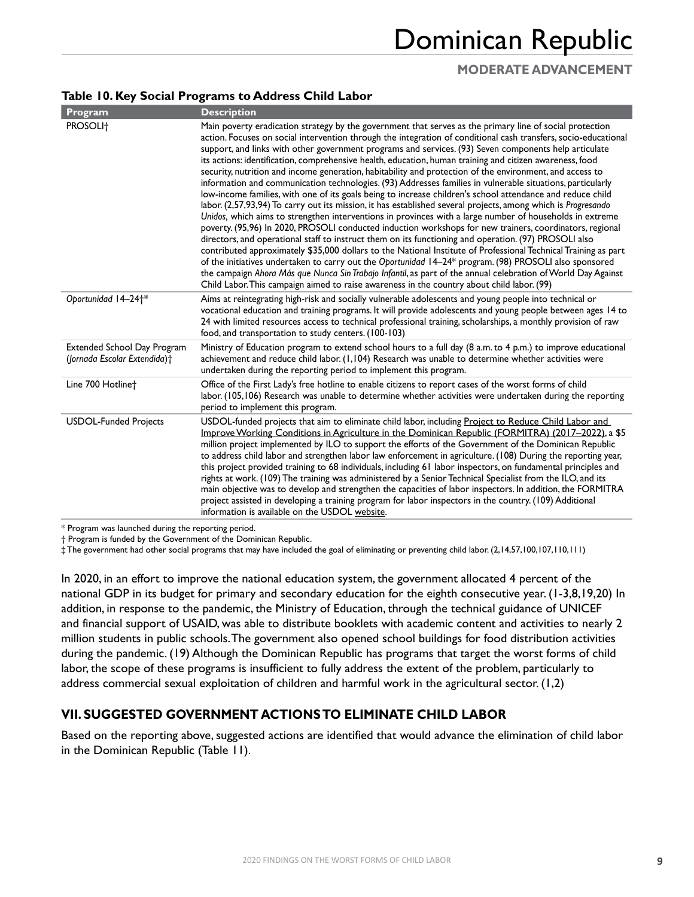## **MODERATE ADVANCEMENT**

### **Table 10. Key Social Programs to Address Child Labor**

| Program                                                            | <b>Description</b>                                                                                                                                                                                                                                                                                                                                                                                                                                                                                                                                                                                                                                                                                                                                                                                                                                                                                                                                                                                                                                                                                                                                                                                                                                                                                                                                                                                                                                                                                                                                                                                                                                                                     |
|--------------------------------------------------------------------|----------------------------------------------------------------------------------------------------------------------------------------------------------------------------------------------------------------------------------------------------------------------------------------------------------------------------------------------------------------------------------------------------------------------------------------------------------------------------------------------------------------------------------------------------------------------------------------------------------------------------------------------------------------------------------------------------------------------------------------------------------------------------------------------------------------------------------------------------------------------------------------------------------------------------------------------------------------------------------------------------------------------------------------------------------------------------------------------------------------------------------------------------------------------------------------------------------------------------------------------------------------------------------------------------------------------------------------------------------------------------------------------------------------------------------------------------------------------------------------------------------------------------------------------------------------------------------------------------------------------------------------------------------------------------------------|
| PROSOLI <sup>+</sup>                                               | Main poverty eradication strategy by the government that serves as the primary line of social protection<br>action. Focuses on social intervention through the integration of conditional cash transfers, socio-educational<br>support, and links with other government programs and services. (93) Seven components help articulate<br>its actions: identification, comprehensive health, education, human training and citizen awareness, food<br>security, nutrition and income generation, habitability and protection of the environment, and access to<br>information and communication technologies. (93) Addresses families in vulnerable situations, particularly<br>low-income families, with one of its goals being to increase children's school attendance and reduce child<br>labor. (2,57,93,94) To carry out its mission, it has established several projects, among which is Progresando<br>Unidos, which aims to strengthen interventions in provinces with a large number of households in extreme<br>poverty. (95,96) In 2020, PROSOLI conducted induction workshops for new trainers, coordinators, regional<br>directors, and operational staff to instruct them on its functioning and operation. (97) PROSOLI also<br>contributed approximately \$35,000 dollars to the National Institute of Professional Technical Training as part<br>of the initiatives undertaken to carry out the Oportunidad 14-24* program. (98) PROSOLI also sponsored<br>the campaign Ahora Más que Nunca Sin Trabajo Infantil, as part of the annual celebration of World Day Against<br>Child Labor. This campaign aimed to raise awareness in the country about child labor. (99) |
| Oportunidad 14-24 <sup>+*</sup>                                    | Aims at reintegrating high-risk and socially vulnerable adolescents and young people into technical or<br>vocational education and training programs. It will provide adolescents and young people between ages 14 to<br>24 with limited resources access to technical professional training, scholarships, a monthly provision of raw<br>food, and transportation to study centers. (100-103)                                                                                                                                                                                                                                                                                                                                                                                                                                                                                                                                                                                                                                                                                                                                                                                                                                                                                                                                                                                                                                                                                                                                                                                                                                                                                         |
| <b>Extended School Day Program</b><br>(Jornada Escolar Extendida)+ | Ministry of Education program to extend school hours to a full day (8 a.m. to 4 p.m.) to improve educational<br>achievement and reduce child labor. (1,104) Research was unable to determine whether activities were<br>undertaken during the reporting period to implement this program.                                                                                                                                                                                                                                                                                                                                                                                                                                                                                                                                                                                                                                                                                                                                                                                                                                                                                                                                                                                                                                                                                                                                                                                                                                                                                                                                                                                              |
| Line 700 Hotline <sup>+</sup>                                      | Office of the First Lady's free hotline to enable citizens to report cases of the worst forms of child<br>labor. (105,106) Research was unable to determine whether activities were undertaken during the reporting<br>period to implement this program.                                                                                                                                                                                                                                                                                                                                                                                                                                                                                                                                                                                                                                                                                                                                                                                                                                                                                                                                                                                                                                                                                                                                                                                                                                                                                                                                                                                                                               |
| <b>USDOL-Funded Projects</b>                                       | USDOL-funded projects that aim to eliminate child labor, including Project to Reduce Child Labor and<br>Improve Working Conditions in Agriculture in the Dominican Republic (FORMITRA) (2017-2022), a \$5<br>million project implemented by ILO to support the efforts of the Government of the Dominican Republic<br>to address child labor and strengthen labor law enforcement in agriculture. (108) During the reporting year,<br>this project provided training to 68 individuals, including 61 labor inspectors, on fundamental principles and<br>rights at work. (109) The training was administered by a Senior Technical Specialist from the ILO, and its<br>main objective was to develop and strengthen the capacities of labor inspectors. In addition, the FORMITRA<br>project assisted in developing a training program for labor inspectors in the country. (109) Additional<br>information is available on the USDOL website.                                                                                                                                                                                                                                                                                                                                                                                                                                                                                                                                                                                                                                                                                                                                          |

\* Program was launched during the reporting period.

† Program is funded by the Government of the Dominican Republic.

‡ The government had other social programs that may have included the goal of eliminating or preventing child labor. (2,14,57,100,107,110,111)

In 2020, in an effort to improve the national education system, the government allocated 4 percent of the national GDP in its budget for primary and secondary education for the eighth consecutive year. (1-3,8,19,20) In addition, in response to the pandemic, the Ministry of Education, through the technical guidance of UNICEF and financial support of USAID, was able to distribute booklets with academic content and activities to nearly 2 million students in public schools. The government also opened school buildings for food distribution activities during the pandemic. (19) Although the Dominican Republic has programs that target the worst forms of child labor, the scope of these programs is insufficient to fully address the extent of the problem, particularly to address commercial sexual exploitation of children and harmful work in the agricultural sector. (1,2)

### **VII. SUGGESTED GOVERNMENT ACTIONS TO ELIMINATE CHILD LABOR**

Based on the reporting above, suggested actions are identified that would advance the elimination of child labor in the Dominican Republic (Table 11).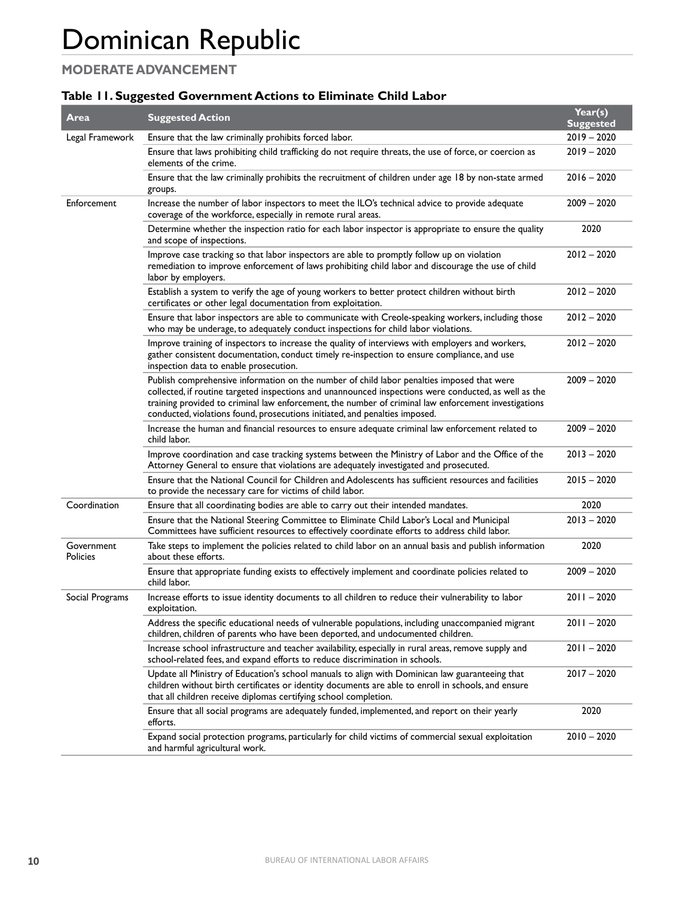## **MODERATE ADVANCEMENT**

### **Table 11. Suggested Government Actions to Eliminate Child Labor**

| Area                          | <b>Suggested Action</b>                                                                                                                                                                                                                                                                                                                                                                    | Year(s)<br><b>Suggested</b> |
|-------------------------------|--------------------------------------------------------------------------------------------------------------------------------------------------------------------------------------------------------------------------------------------------------------------------------------------------------------------------------------------------------------------------------------------|-----------------------------|
| Legal Framework               | Ensure that the law criminally prohibits forced labor.                                                                                                                                                                                                                                                                                                                                     | $2019 - 2020$               |
|                               | Ensure that laws prohibiting child trafficking do not require threats, the use of force, or coercion as<br>elements of the crime.                                                                                                                                                                                                                                                          | $2019 - 2020$               |
|                               | Ensure that the law criminally prohibits the recruitment of children under age 18 by non-state armed<br>groups.                                                                                                                                                                                                                                                                            | $2016 - 2020$               |
| Enforcement                   | Increase the number of labor inspectors to meet the ILO's technical advice to provide adequate<br>coverage of the workforce, especially in remote rural areas.                                                                                                                                                                                                                             | $2009 - 2020$               |
|                               | Determine whether the inspection ratio for each labor inspector is appropriate to ensure the quality<br>and scope of inspections.                                                                                                                                                                                                                                                          | 2020                        |
|                               | Improve case tracking so that labor inspectors are able to promptly follow up on violation<br>remediation to improve enforcement of laws prohibiting child labor and discourage the use of child<br>labor by employers.                                                                                                                                                                    | $2012 - 2020$               |
|                               | Establish a system to verify the age of young workers to better protect children without birth<br>certificates or other legal documentation from exploitation.                                                                                                                                                                                                                             | $2012 - 2020$               |
|                               | Ensure that labor inspectors are able to communicate with Creole-speaking workers, including those<br>who may be underage, to adequately conduct inspections for child labor violations.                                                                                                                                                                                                   | $2012 - 2020$               |
|                               | Improve training of inspectors to increase the quality of interviews with employers and workers,<br>gather consistent documentation, conduct timely re-inspection to ensure compliance, and use<br>inspection data to enable prosecution.                                                                                                                                                  | $2012 - 2020$               |
|                               | Publish comprehensive information on the number of child labor penalties imposed that were<br>collected, if routine targeted inspections and unannounced inspections were conducted, as well as the<br>training provided to criminal law enforcement, the number of criminal law enforcement investigations<br>conducted, violations found, prosecutions initiated, and penalties imposed. | $2009 - 2020$               |
|                               | Increase the human and financial resources to ensure adequate criminal law enforcement related to<br>child labor.                                                                                                                                                                                                                                                                          | 2009 - 2020                 |
|                               | Improve coordination and case tracking systems between the Ministry of Labor and the Office of the<br>Attorney General to ensure that violations are adequately investigated and prosecuted.                                                                                                                                                                                               | $2013 - 2020$               |
|                               | Ensure that the National Council for Children and Adolescents has sufficient resources and facilities<br>to provide the necessary care for victims of child labor.                                                                                                                                                                                                                         | 2015 - 2020                 |
| Coordination                  | Ensure that all coordinating bodies are able to carry out their intended mandates.                                                                                                                                                                                                                                                                                                         | 2020                        |
|                               | Ensure that the National Steering Committee to Eliminate Child Labor's Local and Municipal<br>Committees have sufficient resources to effectively coordinate efforts to address child labor.                                                                                                                                                                                               | $2013 - 2020$               |
| Government<br><b>Policies</b> | Take steps to implement the policies related to child labor on an annual basis and publish information<br>about these efforts.                                                                                                                                                                                                                                                             | 2020                        |
|                               | Ensure that appropriate funding exists to effectively implement and coordinate policies related to<br>child labor.                                                                                                                                                                                                                                                                         | $2009 - 2020$               |
| Social Programs               | Increase efforts to issue identity documents to all children to reduce their vulnerability to labor<br>exploitation.                                                                                                                                                                                                                                                                       | $2011 - 2020$               |
|                               | Address the specific educational needs of vulnerable populations, including unaccompanied migrant<br>children, children of parents who have been deported, and undocumented children.                                                                                                                                                                                                      | $2011 - 2020$               |
|                               | Increase school infrastructure and teacher availability, especially in rural areas, remove supply and<br>school-related fees, and expand efforts to reduce discrimination in schools.                                                                                                                                                                                                      | $2011 - 2020$               |
|                               | Update all Ministry of Education's school manuals to align with Dominican law guaranteeing that<br>children without birth certificates or identity documents are able to enroll in schools, and ensure<br>that all children receive diplomas certifying school completion.                                                                                                                 | $2017 - 2020$               |
|                               | Ensure that all social programs are adequately funded, implemented, and report on their yearly<br>efforts.                                                                                                                                                                                                                                                                                 | 2020                        |
|                               | Expand social protection programs, particularly for child victims of commercial sexual exploitation<br>and harmful agricultural work.                                                                                                                                                                                                                                                      | $2010 - 2020$               |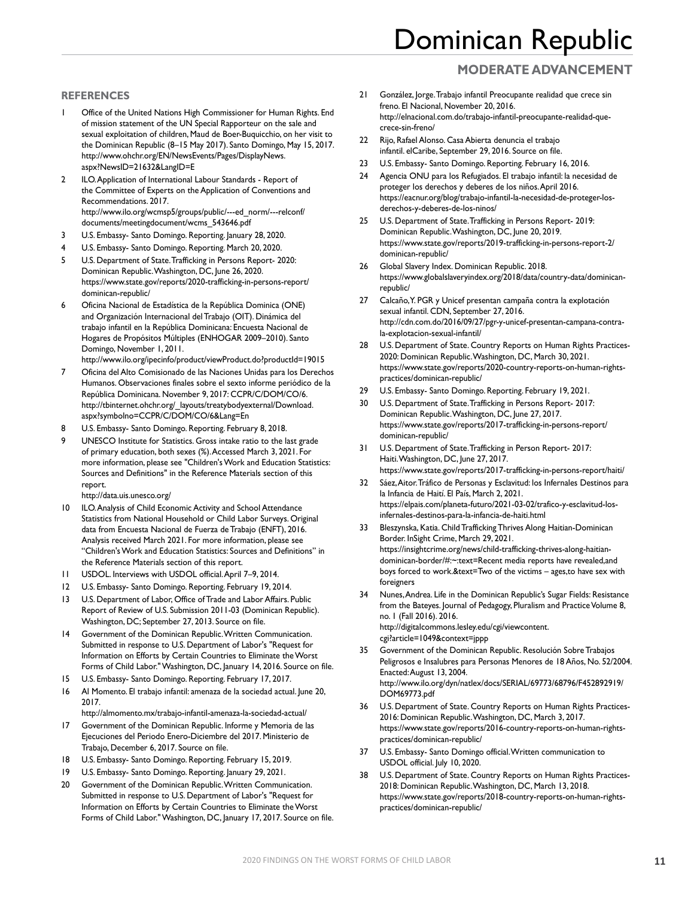## **MODERATE ADVANCEMENT**

#### **REFERENCES**

- Office of the United Nations High Commissioner for Human Rights. End of mission statement of the UN Special Rapporteur on the sale and sexual exploitation of children, Maud de Boer-Buquicchio, on her visit to the Dominican Republic (8–15 May 2017). Santo Domingo, May 15, 2017. [http://www.ohchr.org/EN/NewsEvents/Pages/DisplayNews.](http://www.ohchr.org/EN/NewsEvents/Pages/DisplayNews.aspx?NewsID=21632&LangID=E) [aspx?NewsID=21632&LangID=E](http://www.ohchr.org/EN/NewsEvents/Pages/DisplayNews.aspx?NewsID=21632&LangID=E)
- 2 ILO. Application of International Labour Standards Report of the Committee of Experts on the Application of Conventions and Recommendations. 2017. [http://www.ilo.org/wcmsp5/groups/public/---ed\\_norm/---relconf/](http://www.ilo.org/wcmsp5/groups/public/---ed_norm/---relconf/documents/meetingdocument/wcms_543646.pdf) [documents/meetingdocument/wcms\\_543646.pdf](http://www.ilo.org/wcmsp5/groups/public/---ed_norm/---relconf/documents/meetingdocument/wcms_543646.pdf)
- 3 U.S. Embassy- Santo Domingo. Reporting. January 28, 2020.
- 4 U.S. Embassy- Santo Domingo. Reporting. March 20, 2020.
- 5 U.S. Department of State. Trafficking in Persons Report- 2020: Dominican Republic. Washington, DC, June 26, 2020. [https://www.state.gov/reports/2020-trafficking-in-persons-report/](https://www.state.gov/reports/2020-trafficking-in-persons-report/dominican-republic/) [dominican-republic/](https://www.state.gov/reports/2020-trafficking-in-persons-report/dominican-republic/)
- 6 Oficina Nacional de Estadística de la República Dominica (ONE) and Organización Internacional del Trabajo (OIT). Dinámica del trabajo infantil en la República Dominicana: Encuesta Nacional de Hogares de Propósitos Múltiples (ENHOGAR 2009–2010). Santo Domingo, November 1, 2011.
	- <http://www.ilo.org/ipecinfo/product/viewProduct.do?productId=19015>
- 7 Oficina del Alto Comisionado de las Naciones Unidas para los Derechos Humanos. Observaciones finales sobre el sexto informe periódico de la República Dominicana. November 9, 2017: CCPR/C/DOM/CO/6. [http://tbinternet.ohchr.org/\\_layouts/treatybodyexternal/Download.](http://tbinternet.ohchr.org/_layouts/treatybodyexternal/Download.aspx?symbolno=CCPR/C/DOM/CO/6&Lang=En) [aspx?symbolno=CCPR/C/DOM/CO/6&Lang=En](http://tbinternet.ohchr.org/_layouts/treatybodyexternal/Download.aspx?symbolno=CCPR/C/DOM/CO/6&Lang=En)
- 8 U.S. Embassy- Santo Domingo. Reporting. February 8, 2018.
- 9 UNESCO Institute for Statistics. Gross intake ratio to the last grade of primary education, both sexes (%). Accessed March 3, 2021. For more information, please see "Children's Work and Education Statistics: Sources and Definitions" in the Reference Materials section of this report.

<http://data.uis.unesco.org/>

- 10 ILO. Analysis of Child Economic Activity and School Attendance Statistics from National Household or Child Labor Surveys. Original data from Encuesta Nacional de Fuerza de Trabajo (ENFT), 2016. Analysis received March 2021. For more information, please see "Children's Work and Education Statistics: Sources and Definitions" in the Reference Materials section of this report.
- 11 USDOL. Interviews with USDOL official. April 7–9, 2014.
- 12 U.S. Embassy- Santo Domingo. Reporting. February 19, 2014.
- 13 U.S. Department of Labor, Office of Trade and Labor Affairs. Public Report of Review of U.S. Submission 2011-03 (Dominican Republic). Washington, DC; September 27, 2013. Source on file.
- 14 Government of the Dominican Republic. Written Communication. Submitted in response to U.S. Department of Labor's "Request for Information on Efforts by Certain Countries to Eliminate the Worst Forms of Child Labor." Washington, DC, January 14, 2016. Source on file.
- 15 U.S. Embassy- Santo Domingo. Reporting. February 17, 2017.
- 16 Al Momento. El trabajo infantil: amenaza de la sociedad actual. June 20, 2017.

<http://almomento.mx/trabajo-infantil-amenaza-la-sociedad-actual/>

- 17 Government of the Dominican Republic. Informe y Memoria de las Ejecuciones del Periodo Enero-Diciembre del 2017. Ministerio de Trabajo, December 6, 2017. Source on file.
- 18 U.S. Embassy- Santo Domingo. Reporting. February 15, 2019.
- 19 U.S. Embassy- Santo Domingo. Reporting. January 29, 2021.
- 20 Government of the Dominican Republic. Written Communication. Submitted in response to U.S. Department of Labor's "Request for Information on Efforts by Certain Countries to Eliminate the Worst Forms of Child Labor." Washington, DC, January 17, 2017. Source on file.
- 21 González, Jorge. Trabajo infantil Preocupante realidad que crece sin freno. El Nacional, November 20, 2016. [http://elnacional.com.do/trabajo-infantil-preocupante-realidad-que](http://elnacional.com.do/trabajo-infantil-preocupante-realidad-que-crece-sin-freno/)[crece-sin-freno/](http://elnacional.com.do/trabajo-infantil-preocupante-realidad-que-crece-sin-freno/)
- 22 Rijo, Rafael Alonso. Casa Abierta denuncia el trabajo infantil. elCaribe, September 29, 2016. Source on file.
- 23 U.S. Embassy- Santo Domingo. Reporting. February 16, 2016.
- 24 Agencia ONU para los Refugiados. El trabajo infantil: la necesidad de proteger los derechos y deberes de los niños. April 2016. [https://eacnur.org/blog/trabajo-infantil-la-necesidad-de-proteger-los](https://eacnur.org/blog/trabajo-infantil-la-necesidad-de-proteger-los-derechos-y-deberes-de-los-ninos/)[derechos-y-deberes-de-los-ninos/](https://eacnur.org/blog/trabajo-infantil-la-necesidad-de-proteger-los-derechos-y-deberes-de-los-ninos/)
- 25 U.S. Department of State. Trafficking in Persons Report- 2019: Dominican Republic. Washington, DC, June 20, 2019. [https://www.state.gov/reports/2019-trafficking-in-persons-report-2/](https://www.state.gov/reports/2019-trafficking-in-persons-report-2/dominican-republic/) [dominican-republic/](https://www.state.gov/reports/2019-trafficking-in-persons-report-2/dominican-republic/)
- 26 Global Slavery Index. Dominican Republic. 2018. [https://www.globalslaveryindex.org/2018/data/country-data/dominican](https://www.globalslaveryindex.org/2018/data/country-data/dominican-republic/)[republic/](https://www.globalslaveryindex.org/2018/data/country-data/dominican-republic/)
- 27 Calcaño, Y. PGR y Unicef presentan campaña contra la explotación sexual infantil. CDN, September 27, 2016. [http://cdn.com.do/2016/09/27/pgr-y-unicef-presentan-campana-contra](http://cdn.com.do/2016/09/27/pgr-y-unicef-presentan-campana-contra-la-explotacion-sexual-infantil/)[la-explotacion-sexual-infantil/](http://cdn.com.do/2016/09/27/pgr-y-unicef-presentan-campana-contra-la-explotacion-sexual-infantil/)
- 28 U.S. Department of State. Country Reports on Human Rights Practices-2020: Dominican Republic. Washington, DC, March 30, 2021. [https://www.state.gov/reports/2020-country-reports-on-human-rights](https://www.state.gov/reports/2020-country-reports-on-human-rights-practices/dominican-republic/)[practices/dominican-republic/](https://www.state.gov/reports/2020-country-reports-on-human-rights-practices/dominican-republic/)
- 29 U.S. Embassy- Santo Domingo. Reporting. February 19, 2021.
- 30 U.S. Department of State. Trafficking in Persons Report- 2017: Dominican Republic. Washington, DC, June 27, 2017. [https://www.state.gov/reports/2017-trafficking-in-persons-report/](https://www.state.gov/reports/2017-trafficking-in-persons-report/dominican-republic/) [dominican-republic/](https://www.state.gov/reports/2017-trafficking-in-persons-report/dominican-republic/)
- 31 U.S. Department of State. Trafficking in Person Report- 2017: Haiti. Washington, DC, June 27, 2017. <https://www.state.gov/reports/2017-trafficking-in-persons-report/haiti/>
- 32 Sáez, Aitor. Tráfico de Personas y Esclavitud: los Infernales Destinos para la Infancia de Haití. El País, March 2, 2021. [https://elpais.com/planeta-futuro/2021-03-02/trafico-y-esclavitud-los](https://elpais.com/planeta-futuro/2021-03-02/trafico-y-esclavitud-los-infernales-destinos-para-la-infancia-de-haiti.html)[infernales-destinos-para-la-infancia-de-haiti.html](https://elpais.com/planeta-futuro/2021-03-02/trafico-y-esclavitud-los-infernales-destinos-para-la-infancia-de-haiti.html)
- 33 Bleszynska, Katia. Child Trafficking Thrives Along Haitian-Dominican Border. InSight Crime, March 29, 2021. https://insightcrime.org/news/child-trafficking-thrives-along-haitiandominican-border/#:~:text=Recent media reports have revealed,and boys forced to work.&text=Two of the victims – ages,to have sex with foreigners
- Nunes, Andrea. Life in the Dominican Republic's Sugar Fields: Resistance from the Bateyes. Journal of Pedagogy, Pluralism and Practice Volume 8, no. 1 (Fall 2016). 2016. [http://digitalcommons.lesley.edu/cgi/viewcontent.](http://digitalcommons.lesley.edu/cgi/viewcontent.cgi?article=1049&context=jppp) [cgi?article=1049&context=jppp](http://digitalcommons.lesley.edu/cgi/viewcontent.cgi?article=1049&context=jppp)
- 35 Government of the Dominican Republic. Resolución Sobre Trabajos Peligrosos e Insalubres para Personas Menores de 18 Años, No. 52/2004. Enacted: August 13, 2004. [http://www.ilo.org/dyn/natlex/docs/SERIAL/69773/68796/F452892919/](http://www.ilo.org/dyn/natlex/docs/SERIAL/69773/68796/F452892919/DOM69773.pdf) [DOM69773.pdf](http://www.ilo.org/dyn/natlex/docs/SERIAL/69773/68796/F452892919/DOM69773.pdf)
- 36 U.S. Department of State. Country Reports on Human Rights Practices-2016: Dominican Republic. Washington, DC, March 3, 2017. [https://www.state.gov/reports/2016-country-reports-on-human-rights](https://www.state.gov/reports/2016-country-reports-on-human-rights-practices/dominican-republic/)[practices/dominican-republic/](https://www.state.gov/reports/2016-country-reports-on-human-rights-practices/dominican-republic/)
- 37 U.S. Embassy- Santo Domingo official. Written communication to USDOL official. July 10, 2020.
- 38 U.S. Department of State. Country Reports on Human Rights Practices-2018: Dominican Republic. Washington, DC, March 13, 2018. [https://www.state.gov/reports/2018-country-reports-on-human-rights](https://www.state.gov/reports/2018-country-reports-on-human-rights-practices/dominican-republic/)[practices/dominican-republic/](https://www.state.gov/reports/2018-country-reports-on-human-rights-practices/dominican-republic/)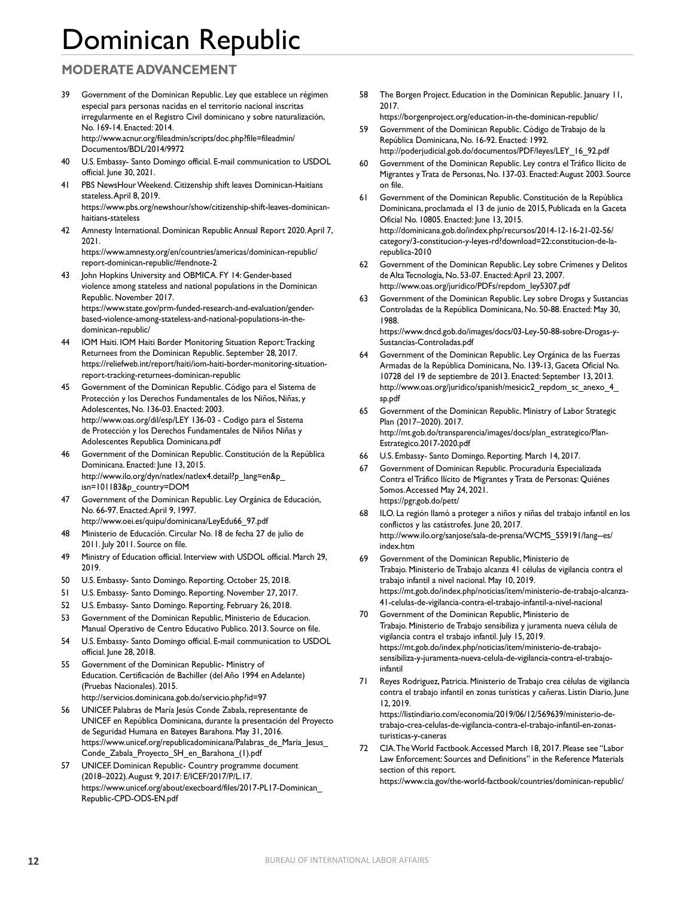## **MODERATE ADVANCEMENT**

- 39 Government of the Dominican Republic. Ley que establece un régimen especial para personas nacidas en el territorio nacional inscritas irregularmente en el Registro Civil dominicano y sobre naturalización, No. 169-14. Enacted: 2014. [http://www.acnur.org/fileadmin/scripts/doc.php?file=fileadmin/](http://www.acnur.org/fileadmin/scripts/doc.php?file=fileadmin/Documentos/BDL/2014/9972) [Documentos/BDL/2014/9972](http://www.acnur.org/fileadmin/scripts/doc.php?file=fileadmin/Documentos/BDL/2014/9972)
- 40 U.S. Embassy- Santo Domingo official. E-mail communication to USDOL official. June 30, 2021.
- 41 PBS NewsHour Weekend. Citizenship shift leaves Dominican-Haitians stateless. April 8, 2019. [https://www.pbs.org/newshour/show/citizenship-shift-leaves-dominican](https://www.pbs.org/newshour/show/citizenship-shift-leaves-dominican-haitians-stateless)[haitians-stateless](https://www.pbs.org/newshour/show/citizenship-shift-leaves-dominican-haitians-stateless)
- 42 Amnesty International. Dominican Republic Annual Report 2020. April 7, 2021.

https://www.amnesty.org/en/countries/americas/dominican-republic/ report-dominican-republic/#endnote-2

- 43 John Hopkins University and OBMICA. FY 14: Gender-based violence among stateless and national populations in the Dominican Republic. November 2017. [https://www.state.gov/prm-funded-research-and-evaluation/gender](https://www.state.gov/prm-funded-research-and-evaluation/gender-based-violence-among-stateless-and-national-populations-in-the-dominican-republic/)[based-violence-among-stateless-and-national-populations-in-the](https://www.state.gov/prm-funded-research-and-evaluation/gender-based-violence-among-stateless-and-national-populations-in-the-dominican-republic/)[dominican-republic/](https://www.state.gov/prm-funded-research-and-evaluation/gender-based-violence-among-stateless-and-national-populations-in-the-dominican-republic/)
- 44 IOM Haiti. IOM Haiti Border Monitoring Situation Report: Tracking Returnees from the Dominican Republic. September 28, 2017. [https://reliefweb.int/report/haiti/iom-haiti-border-monitoring-situation](https://reliefweb.int/report/haiti/iom-haiti-border-monitoring-situation-report-tracking-returnees-dominican-republic)[report-tracking-returnees-dominican-republic](https://reliefweb.int/report/haiti/iom-haiti-border-monitoring-situation-report-tracking-returnees-dominican-republic)
- 45 Government of the Dominican Republic. Código para el Sistema de Protección y los Derechos Fundamentales de los Niños, Niñas, y Adolescentes, No. 136-03. Enacted: 2003. [http://www.oas.org/dil/esp/LEY 136-03 - Codigo para el Sistema](http://www.oas.org/dil/esp/LEY%20136-03%20-%20Codigo%20para%20el%20Sistema%20de%20Protecci%C3%B3n%20y%20los%20Derechos%20Fundamentales%20de%20Ni%C3%B1os%20Ni%C3%B1as%20y%20Adolescentes%20Republica%20Dominicana.pdf)  [de Protección y los Derechos Fundamentales de Niños Niñas y](http://www.oas.org/dil/esp/LEY%20136-03%20-%20Codigo%20para%20el%20Sistema%20de%20Protecci%C3%B3n%20y%20los%20Derechos%20Fundamentales%20de%20Ni%C3%B1os%20Ni%C3%B1as%20y%20Adolescentes%20Republica%20Dominicana.pdf)  [Adolescentes Republica Dominicana.pdf](http://www.oas.org/dil/esp/LEY%20136-03%20-%20Codigo%20para%20el%20Sistema%20de%20Protecci%C3%B3n%20y%20los%20Derechos%20Fundamentales%20de%20Ni%C3%B1os%20Ni%C3%B1as%20y%20Adolescentes%20Republica%20Dominicana.pdf)
- 46 Government of the Dominican Republic. Constitución de la República Dominicana. Enacted: June 13, 2015. [http://www.ilo.org/dyn/natlex/natlex4.detail?p\\_lang=en&p\\_](http://www.ilo.org/dyn/natlex/natlex4.detail?p_lang=en&p_isn=101183&p_country=DOM) [isn=101183&p\\_country=DOM](http://www.ilo.org/dyn/natlex/natlex4.detail?p_lang=en&p_isn=101183&p_country=DOM)
- 47 Government of the Dominican Republic. Ley Orgánica de Educación, No. 66-97. Enacted: April 9, 1997. [http://www.oei.es/quipu/dominicana/LeyEdu66\\_97.pdf](http://www.oei.es/quipu/dominicana/LeyEdu66_97.pdf)
- 48 Ministerio de Educación. Circular No. 18 de fecha 27 de julio de 2011. July 2011. Source on file.
- 49 Ministry of Education official. Interview with USDOL official. March 29, 2019.
- 50 U.S. Embassy- Santo Domingo. Reporting. October 25, 2018.
- 51 U.S. Embassy- Santo Domingo. Reporting. November 27, 2017.
- 52 U.S. Embassy- Santo Domingo. Reporting. February 26, 2018.
- 53 Government of the Dominican Republic, Ministerio de Educacion. Manual Operativo de Centro Educativo Publico. 2013. Source on file.
- 54 U.S. Embassy- Santo Domingo official. E-mail communication to USDOL official. June 28, 2018.
- 55 Government of the Dominican Republic- Ministry of Education. Certificación de Bachiller (del Año 1994 en Adelante) (Pruebas Nacionales). 2015. <http://servicios.dominicana.gob.do/servicio.php?id=97>
- 56 UNICEF. Palabras de María Jesús Conde Zabala, representante de UNICEF en República Dominicana, durante la presentación del Proyecto de Seguridad Humana en Bateyes Barahona. May 31, 2016. [https://www.unicef.org/republicadominicana/Palabras\\_de\\_Maria\\_Jesus\\_](https://www.unicef.org/republicadominicana/Palabras_de_Maria_Jesus_Conde_Zabala_Proyecto_SH_en_Barahona_(1).pdf) [Conde\\_Zabala\\_Proyecto\\_SH\\_en\\_Barahona\\_\(1\).pdf](https://www.unicef.org/republicadominicana/Palabras_de_Maria_Jesus_Conde_Zabala_Proyecto_SH_en_Barahona_(1).pdf)
- 57 UNICEF. Dominican Republic- Country programme document (2018–2022). August 9, 2017: E/ICEF/2017/P/L.17. [https://www.unicef.org/about/execboard/files/2017-PL17-Dominican\\_](https://www.unicef.org/about/execboard/files/2017-PL17-Dominican_Republic-CPD-ODS-EN.pdf) [Republic-CPD-ODS-EN.pdf](https://www.unicef.org/about/execboard/files/2017-PL17-Dominican_Republic-CPD-ODS-EN.pdf)

58 The Borgen Project. Education in the Dominican Republic. January 11, 2017.

<https://borgenproject.org/education-in-the-dominican-republic/>

- 59 Government of the Dominican Republic. Código de Trabajo de la República Dominicana, No. 16-92. Enacted: 1992. [http://poderjudicial.gob.do/documentos/PDF/leyes/LEY\\_16\\_92.pdf](http://poderjudicial.gob.do/documentos/PDF/leyes/LEY_16_92.pdf)
- 60 Government of the Dominican Republic. Ley contra el Tráfico Ilicito de Migrantes y Trata de Personas, No. 137-03. Enacted: August 2003. Source on file.
- 61 Government of the Dominican Republic. Constitución de la República Dominicana, proclamada el 13 de junio de 2015, Publicada en la Gaceta Oficial No. 10805. Enacted: June 13, 2015. [http://dominicana.gob.do/index.php/recursos/2014-12-16-21-02-56/](http://dominicana.gob.do/index.php/recursos/2014-12-16-21-02-56/category/3-constitucion-y-leyes-rd?download=22:constitucion-de-la-republica-2010) [category/3-constitucion-y-leyes-rd?download=22:constitucion-de-la](http://dominicana.gob.do/index.php/recursos/2014-12-16-21-02-56/category/3-constitucion-y-leyes-rd?download=22:constitucion-de-la-republica-2010)[republica-2010](http://dominicana.gob.do/index.php/recursos/2014-12-16-21-02-56/category/3-constitucion-y-leyes-rd?download=22:constitucion-de-la-republica-2010)
- 62 Government of the Dominican Republic. Ley sobre Crímenes y Delitos de Alta Tecnología, No. 53-07. Enacted: April 23, 2007. [http://www.oas.org/juridico/PDFs/repdom\\_ley5307.pdf](http://www.oas.org/juridico/PDFs/repdom_ley5307.pdf)
- 63 Government of the Dominican Republic. Ley sobre Drogas y Sustancias Controladas de la República Dominicana, No. 50-88. Enacted: May 30, 1988.

[https://www.dncd.gob.do/images/docs/03-Ley-50-88-sobre-Drogas-y-](https://www.dncd.gob.do/images/docs/03-Ley-50-88-sobre-Drogas-y-Sustancias-Controladas.pdf)[Sustancias-Controladas.pdf](https://www.dncd.gob.do/images/docs/03-Ley-50-88-sobre-Drogas-y-Sustancias-Controladas.pdf)

- Government of the Dominican Republic. Ley Orgánica de las Fuerzas Armadas de la República Dominicana, No. 139-13, Gaceta Oficial No. 10728 del 19 de septiembre de 2013. Enacted: September 13, 2013. [http://www.oas.org/juridico/spanish/mesicic2\\_repdom\\_sc\\_anexo\\_4\\_](http://www.oas.org/juridico/spanish/mesicic2_repdom_sc_anexo_4_sp.pdf) [sp.pdf](http://www.oas.org/juridico/spanish/mesicic2_repdom_sc_anexo_4_sp.pdf)
- 65 Government of the Dominican Republic. Ministry of Labor Strategic Plan (2017–2020). 2017. [http://mt.gob.do/transparencia/images/docs/plan\\_estrategico/Plan-](http://mt.gob.do/transparencia/images/docs/plan_estrategico/Plan-Estrategico.2017-2020.pdf)[Estrategico.2017-2020.pdf](http://mt.gob.do/transparencia/images/docs/plan_estrategico/Plan-Estrategico.2017-2020.pdf)
- 66 U.S. Embassy- Santo Domingo. Reporting. March 14, 2017.
- 67 Government of Dominican Republic. Procuraduría Especializada Contra el Tráfico Ilícito de Migrantes y Trata de Personas: Quiénes Somos. Accessed May 24, 2021. <https://pgr.gob.do/pett/>
- 68 ILO. La región llamó a proteger a niños y niñas del trabajo infantil en los conflictos y las catástrofes. June 20, 2017. [http://www.ilo.org/sanjose/sala-de-prensa/WCMS\\_559191/lang--es/](http://www.ilo.org/sanjose/sala-de-prensa/WCMS_559191/lang--es/index.htm) [index.htm](http://www.ilo.org/sanjose/sala-de-prensa/WCMS_559191/lang--es/index.htm)
- 69 Government of the Dominican Republic, Ministerio de Trabajo. Ministerio de Trabajo alcanza 41 células de vigilancia contra el trabajo infantil a nivel nacional. May 10, 2019. [https://mt.gob.do/index.php/noticias/item/ministerio-de-trabajo-alcanza-](https://mt.gob.do/index.php/noticias/item/ministerio-de-trabajo-alcanza-41-celulas-de-vigilancia-contra-el-trabajo-infantil-a-nivel-nacional)[41-celulas-de-vigilancia-contra-el-trabajo-infantil-a-nivel-nacional](https://mt.gob.do/index.php/noticias/item/ministerio-de-trabajo-alcanza-41-celulas-de-vigilancia-contra-el-trabajo-infantil-a-nivel-nacional)
- 70 Government of the Dominican Republic, Ministerio de Trabajo. Ministerio de Trabajo sensibiliza y juramenta nueva célula de vigilancia contra el trabajo infantil. July 15, 2019. [https://mt.gob.do/index.php/noticias/item/ministerio-de-trabajo](https://mt.gob.do/index.php/noticias/item/ministerio-de-trabajo-sensibiliza-y-juramenta-nueva-celula-de-vigilancia-contra-el-trabajo-infantil)[sensibiliza-y-juramenta-nueva-celula-de-vigilancia-contra-el-trabajo](https://mt.gob.do/index.php/noticias/item/ministerio-de-trabajo-sensibiliza-y-juramenta-nueva-celula-de-vigilancia-contra-el-trabajo-infantil)[infantil](https://mt.gob.do/index.php/noticias/item/ministerio-de-trabajo-sensibiliza-y-juramenta-nueva-celula-de-vigilancia-contra-el-trabajo-infantil)
- 71 Reyes Rodriguez, Patricia. Ministerio de Trabajo crea células de vigilancia contra el trabajo infantil en zonas turísticas y cañeras. Listin Diario, June 12, 2019. [https://listindiario.com/economia/2019/06/12/569639/ministerio-de](https://listindiario.com/economia/2019/06/12/569639/ministerio-de-trabajo-crea-celulas-de-vigilancia-contra-el-trabajo-infantil-en-zonas-turisticas-y-caneras)[trabajo-crea-celulas-de-vigilancia-contra-el-trabajo-infantil-en-zonas](https://listindiario.com/economia/2019/06/12/569639/ministerio-de-trabajo-crea-celulas-de-vigilancia-contra-el-trabajo-infantil-en-zonas-turisticas-y-caneras)[turisticas-y-caneras](https://listindiario.com/economia/2019/06/12/569639/ministerio-de-trabajo-crea-celulas-de-vigilancia-contra-el-trabajo-infantil-en-zonas-turisticas-y-caneras)
- 72 CIA. The World Factbook. Accessed March 18, 2017. Please see "Labor Law Enforcement: Sources and Definitions" in the Reference Materials section of this report.

<https://www.cia.gov/the-world-factbook/countries/dominican-republic/>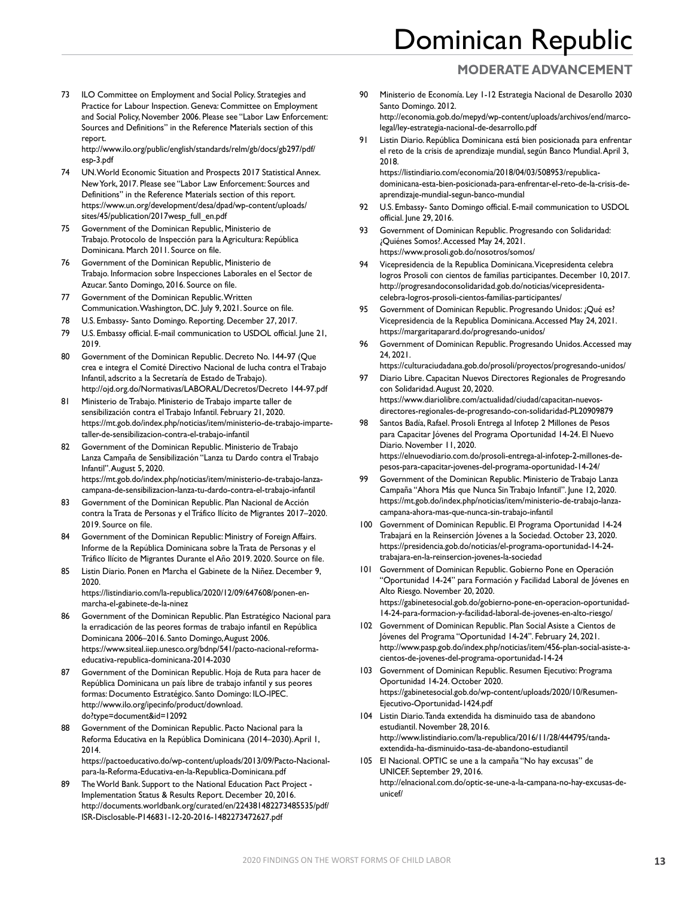### **MODERATE ADVANCEMENT**

73 ILO Committee on Employment and Social Policy. Strategies and Practice for Labour Inspection. Geneva: Committee on Employment and Social Policy, November 2006. Please see "Labor Law Enforcement: Sources and Definitions" in the Reference Materials section of this report.

[http://www.ilo.org/public/english/standards/relm/gb/docs/gb297/pdf/](http://www.ilo.org/public/english/standards/relm/gb/docs/gb297/pdf/esp-3.pdf) [esp-3.pdf](http://www.ilo.org/public/english/standards/relm/gb/docs/gb297/pdf/esp-3.pdf)

- 74 UN. World Economic Situation and Prospects 2017 Statistical Annex. New York, 2017. Please see "Labor Law Enforcement: Sources and Definitions" in the Reference Materials section of this report. [https://www.un.org/development/desa/dpad/wp-content/uploads/](https://www.un.org/development/desa/dpad/wp-content/uploads/sites/45/publication/2017wesp_full_en.pdf) [sites/45/publication/2017wesp\\_full\\_en.pdf](https://www.un.org/development/desa/dpad/wp-content/uploads/sites/45/publication/2017wesp_full_en.pdf)
- 75 Government of the Dominican Republic, Ministerio de Trabajo. Protocolo de Inspección para la Agricultura: República Dominicana. March 2011. Source on file.
- 76 Government of the Dominican Republic, Ministerio de Trabajo. Informacion sobre Inspecciones Laborales en el Sector de Azucar. Santo Domingo, 2016. Source on file.
- 77 Government of the Dominican Republic. Written Communication. Washington, DC. July 9, 2021. Source on file.
- 78 U.S. Embassy- Santo Domingo. Reporting. December 27, 2017.
- 79 U.S. Embassy official. E-mail communication to USDOL official. June 21, 2019.
- 80 Government of the Dominican Republic. Decreto No. 144-97 (Que crea e integra el Comité Directivo Nacional de lucha contra el Trabajo Infantil, adscrito a la Secretaría de Estado de Trabajo). [http://ojd.org.do/Normativas/LABORAL/Decretos/Decreto 144-97.pdf](http://ojd.org.do/Normativas/LABORAL/Decretos/Decreto%20144-97.pdf)
- 81 Ministerio de Trabajo. Ministerio de Trabajo imparte taller de sensibilización contra el Trabajo Infantil. February 21, 2020. [https://mt.gob.do/index.php/noticias/item/ministerio-de-trabajo-imparte](https://mt.gob.do/index.php/noticias/item/ministerio-de-trabajo-imparte-taller-de-sensibilizacion-contra-el-trabajo-infantil)[taller-de-sensibilizacion-contra-el-trabajo-infantil](https://mt.gob.do/index.php/noticias/item/ministerio-de-trabajo-imparte-taller-de-sensibilizacion-contra-el-trabajo-infantil)
- 82 Government of the Dominican Republic. Ministerio de Trabajo Lanza Campaña de Sensibilización "Lanza tu Dardo contra el Trabajo Infantil". August 5, 2020. [https://mt.gob.do/index.php/noticias/item/ministerio-de-trabajo-lanza](https://mt.gob.do/index.php/noticias/item/ministerio-de-trabajo-lanza-campana-de-sensibilizacion-lanza-tu-dardo-contra-el-trabajo-infantil)[campana-de-sensibilizacion-lanza-tu-dardo-contra-el-trabajo-infantil](https://mt.gob.do/index.php/noticias/item/ministerio-de-trabajo-lanza-campana-de-sensibilizacion-lanza-tu-dardo-contra-el-trabajo-infantil)
- 83 Government of the Dominican Republic. Plan Nacional de Acción contra la Trata de Personas y el Tráfico Ilícito de Migrantes 2017–2020. 2019. Source on file.
- 84 Government of the Dominican Republic: Ministry of Foreign Affairs. Informe de la República Dominicana sobre la Trata de Personas y el Tráfico Ilícito de Migrantes Durante el Año 2019. 2020. Source on file.
- 85 Listin Diario. Ponen en Marcha el Gabinete de la Niñez. December 9, 2020. [https://listindiario.com/la-republica/2020/12/09/647608/ponen-en-](https://listindiario.com/la-republica/2020/12/09/647608/ponen-en-marcha-el-gabinete-de-la-ninez)

[marcha-el-gabinete-de-la-ninez](https://listindiario.com/la-republica/2020/12/09/647608/ponen-en-marcha-el-gabinete-de-la-ninez)

- 86 Government of the Dominican Republic. Plan Estratégico Nacional para la erradicación de las peores formas de trabajo infantil en República Dominicana 2006–2016. Santo Domingo, August 2006. [https://www.siteal.iiep.unesco.org/bdnp/541/pacto-nacional-reforma](https://www.siteal.iiep.unesco.org/bdnp/541/pacto-nacional-reforma-educativa-republica-dominicana-2014-2030)[educativa-republica-dominicana-2014-2030](https://www.siteal.iiep.unesco.org/bdnp/541/pacto-nacional-reforma-educativa-republica-dominicana-2014-2030)
- 87 Government of the Dominican Republic. Hoja de Ruta para hacer de República Dominicana un país libre de trabajo infantil y sus peores formas: Documento Estratégico. Santo Domingo: ILO-IPEC. [http://www.ilo.org/ipecinfo/product/download.](http://www.ilo.org/ipecinfo/product/download.do?type=document&id=12092) [do?type=document&id=12092](http://www.ilo.org/ipecinfo/product/download.do?type=document&id=12092)
- 88 Government of the Dominican Republic. Pacto Nacional para la Reforma Educativa en la República Dominicana (2014–2030). April 1, 2014. [https://pactoeducativo.do/wp-content/uploads/2013/09/Pacto-Nacional](https://pactoeducativo.do/wp-content/uploads/2013/09/Pacto-Nacional-para-la-Reforma-Educativa-en-la-Republica-Dominicana.pdf)[para-la-Reforma-Educativa-en-la-Republica-Dominicana.pdf](https://pactoeducativo.do/wp-content/uploads/2013/09/Pacto-Nacional-para-la-Reforma-Educativa-en-la-Republica-Dominicana.pdf)
- 89 The World Bank. Support to the National Education Pact Project Implementation Status & Results Report. December 20, 2016. [http://documents.worldbank.org/curated/en/224381482273485535/pdf/](http://documents.worldbank.org/curated/en/224381482273485535/pdf/ISR-Disclosable-P146831-12-20-2016-1482273472627.pdf) [ISR-Disclosable-P146831-12-20-2016-1482273472627.pdf](http://documents.worldbank.org/curated/en/224381482273485535/pdf/ISR-Disclosable-P146831-12-20-2016-1482273472627.pdf)
- 90 Ministerio de Economía. Ley 1-12 Estrategia Nacional de Desarollo 2030 Santo Domingo. 2012. [http://economia.gob.do/mepyd/wp-content/uploads/archivos/end/marco-](http://economia.gob.do/mepyd/wp-content/uploads/archivos/end/marco-legal/ley-estrategia-nacional-de-desarrollo.pdf)
- [legal/ley-estrategia-nacional-de-desarrollo.pdf](http://economia.gob.do/mepyd/wp-content/uploads/archivos/end/marco-legal/ley-estrategia-nacional-de-desarrollo.pdf) 91 Listin Diario. República Dominicana está bien posicionada para enfrentar el reto de la crisis de aprendizaje mundial, según Banco Mundial. April 3, 2018. [https://listindiario.com/economia/2018/04/03/508953/republica-](https://listindiario.com/economia/2018/04/03/508953/republica-dominicana-esta-bien-posicionada-para-enfrentar-el-reto-de-la-crisis-de-aprendizaje-mundial-segun-banco-mundial)

[dominicana-esta-bien-posicionada-para-enfrentar-el-reto-de-la-crisis-de](https://listindiario.com/economia/2018/04/03/508953/republica-dominicana-esta-bien-posicionada-para-enfrentar-el-reto-de-la-crisis-de-aprendizaje-mundial-segun-banco-mundial)[aprendizaje-mundial-segun-banco-mundial](https://listindiario.com/economia/2018/04/03/508953/republica-dominicana-esta-bien-posicionada-para-enfrentar-el-reto-de-la-crisis-de-aprendizaje-mundial-segun-banco-mundial)

- U.S. Embassy- Santo Domingo official. E-mail communication to USDOL official. June 29, 2016.
- 93 Government of Dominican Republic. Progresando con Solidaridad: ¿Quiénes Somos?. Accessed May 24, 2021. <https://www.prosoli.gob.do/nosotros/somos/>
- 94 Vicepresidencia de la Republica Dominicana. Vicepresidenta celebra logros Prosoli con cientos de familias participantes. December 10, 2017. [http://progresandoconsolidaridad.gob.do/noticias/vicepresidenta](http://progresandoconsolidaridad.gob.do/noticias/vicepresidenta-celebra-logros-prosoli-cientos-familias-participantes/)[celebra-logros-prosoli-cientos-familias-participantes/](http://progresandoconsolidaridad.gob.do/noticias/vicepresidenta-celebra-logros-prosoli-cientos-familias-participantes/)
- 95 Government of Dominican Republic. Progresando Unidos: ¿Qué es? Vicepresidencia de la Republica Dominicana. Accessed May 24, 2021. <https://margaritaparard.do/progresando-unidos/>
- 96 Government of Dominican Republic. Progresando Unidos. Accessed may 24, 2021.

<https://culturaciudadana.gob.do/prosoli/proyectos/progresando-unidos/>

- 97 Diario Libre. Capacitan Nuevos Directores Regionales de Progresando con Solidaridad. August 20, 2020. [https://www.diariolibre.com/actualidad/ciudad/capacitan-nuevos](https://www.diariolibre.com/actualidad/ciudad/capacitan-nuevos-directores-regionales-de-progresando-con-solidaridad-PL20909879)[directores-regionales-de-progresando-con-solidaridad-PL20909879](https://www.diariolibre.com/actualidad/ciudad/capacitan-nuevos-directores-regionales-de-progresando-con-solidaridad-PL20909879)
- 98 Santos Badía, Rafael. Prosoli Entrega al Infotep 2 Millones de Pesos para Capacitar Jóvenes del Programa Oportunidad 14-24. El Nuevo Diario. November 11, 2020. [https://elnuevodiario.com.do/prosoli-entrega-al-infotep-2-millones-de](https://elnuevodiario.com.do/prosoli-entrega-al-infotep-2-millones-de-pesos-para-capacitar-jovenes-del-programa-oportunidad-14-24/)[pesos-para-capacitar-jovenes-del-programa-oportunidad-14-24/](https://elnuevodiario.com.do/prosoli-entrega-al-infotep-2-millones-de-pesos-para-capacitar-jovenes-del-programa-oportunidad-14-24/)
- 99 Government of the Dominican Republic. Ministerio de Trabajo Lanza Campaña "Ahora Más que Nunca Sin Trabajo Infantil". June 12, 2020. [https://mt.gob.do/index.php/noticias/item/ministerio-de-trabajo-lanza](https://mt.gob.do/index.php/noticias/item/ministerio-de-trabajo-lanza-campana-ahora-mas-que-nunca-sin-trabajo-infantil)[campana-ahora-mas-que-nunca-sin-trabajo-infantil](https://mt.gob.do/index.php/noticias/item/ministerio-de-trabajo-lanza-campana-ahora-mas-que-nunca-sin-trabajo-infantil)
- 100 Government of Dominican Republic. El Programa Oportunidad 14-24 Trabajará en la Reinserción Jóvenes a la Sociedad. October 23, 2020. [https://presidencia.gob.do/noticias/el-programa-oportunidad-14-24](https://presidencia.gob.do/noticias/el-programa-oportunidad-14-24-trabajara-en-la-reinsercion-jovenes-la-sociedad) [trabajara-en-la-reinsercion-jovenes-la-sociedad](https://presidencia.gob.do/noticias/el-programa-oportunidad-14-24-trabajara-en-la-reinsercion-jovenes-la-sociedad)
- 101 Government of Dominican Republic. Gobierno Pone en Operación "Oportunidad 14-24" para Formación y Facilidad Laboral de Jóvenes en Alto Riesgo. November 20, 2020. [https://gabinetesocial.gob.do/gobierno-pone-en-operacion-oportunidad-](https://gabinetesocial.gob.do/gobierno-pone-en-operacion-oportunidad-14-24-para-formacion-y-facilidad-laboral-de-jovenes-en-alto-riesgo/)[14-24-para-formacion-y-facilidad-laboral-de-jovenes-en-alto-riesgo/](https://gabinetesocial.gob.do/gobierno-pone-en-operacion-oportunidad-14-24-para-formacion-y-facilidad-laboral-de-jovenes-en-alto-riesgo/)
- 102 Government of Dominican Republic. Plan Social Asiste a Cientos de Jóvenes del Programa "Oportunidad 14-24". February 24, 2021. [http://www.pasp.gob.do/index.php/noticias/item/456-plan-social-asiste-a](http://www.pasp.gob.do/index.php/noticias/item/456-plan-social-asiste-a-cientos-de-jovenes-del-programa-oportunidad-14-24)[cientos-de-jovenes-del-programa-oportunidad-14-24](http://www.pasp.gob.do/index.php/noticias/item/456-plan-social-asiste-a-cientos-de-jovenes-del-programa-oportunidad-14-24)
- 103 Government of Dominican Republic. Resumen Ejecutivo: Programa Oportunidad 14-24. October 2020. [https://gabinetesocial.gob.do/wp-content/uploads/2020/10/Resumen-](https://gabinetesocial.gob.do/wp-content/uploads/2020/10/Resumen-Ejecutivo-Oportunidad-1424.pdf)[Ejecutivo-Oportunidad-1424.pdf](https://gabinetesocial.gob.do/wp-content/uploads/2020/10/Resumen-Ejecutivo-Oportunidad-1424.pdf)
- 104 Listin Diario. Tanda extendida ha disminuido tasa de abandono estudiantil. November 28, 2016. [http://www.listindiario.com/la-republica/2016/11/28/444795/tanda](http://www.listindiario.com/la-republica/2016/11/28/444795/tanda-extendida-ha-disminuido-tasa-de-abandono-estudiantil)[extendida-ha-disminuido-tasa-de-abandono-estudiantil](http://www.listindiario.com/la-republica/2016/11/28/444795/tanda-extendida-ha-disminuido-tasa-de-abandono-estudiantil)
- 105 El Nacional. OPTIC se une a la campaña "No hay excusas" de UNICEF. September 29, 2016. [http://elnacional.com.do/optic-se-une-a-la-campana-no-hay-excusas-de](http://elnacional.com.do/optic-se-une-a-la-campana-no-hay-excusas-de-unicef/)[unicef/](http://elnacional.com.do/optic-se-une-a-la-campana-no-hay-excusas-de-unicef/)